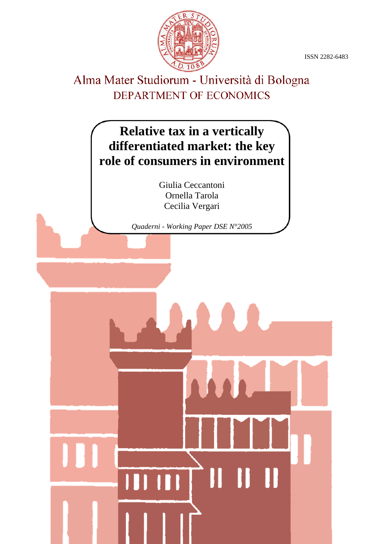ISSN 2282-6483



# Alma Mater Studiorum - Università di Bologna DEPARTMENT OF ECONOMICS

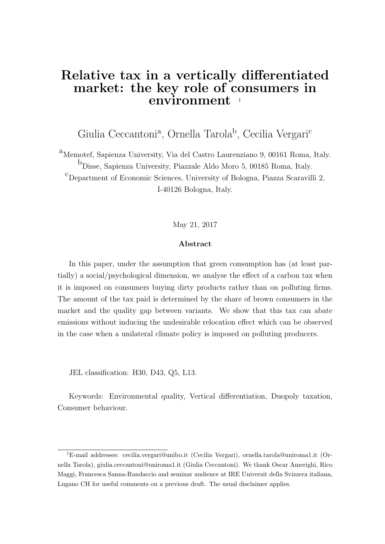# Relative tax in a vertically differentiated market: the key role of consumers in environment †

Giulia Ceccantoni<sup>a</sup>, Ornella Tarola<sup>b</sup>, Cecilia Vergari<sup>c</sup>

<sup>a</sup>Memotef, Sapienza University, Via del Castro Laurenziano 9, 00161 Roma, Italy.  $<sup>b</sup>$ Disse, Sapienza University, Piazzale Aldo Moro 5, 00185 Roma, Italy.</sup> <sup>c</sup>Department of Economic Sciences, University of Bologna, Piazza Scaravilli 2, I-40126 Bologna, Italy.

May 21, 2017

#### Abstract

In this paper, under the assumption that green consumption has (at least partially) a social/psychological dimension, we analyse the effect of a carbon tax when it is imposed on consumers buying dirty products rather than on polluting firms. The amount of the tax paid is determined by the share of brown consumers in the market and the quality gap between variants. We show that this tax can abate emissions without inducing the undesirable relocation effect which can be observed in the case when a unilateral climate policy is imposed on polluting producers.

JEL classification: H30, D43, Q5, L13.

Keywords: Environmental quality, Vertical differentiation, Duopoly taxation, Consumer behaviour.

<sup>†</sup>E-mail addresses: cecilia.vergari@unibo.it (Cecilia Vergari), ornella.tarola@uniroma1.it (Ornella Tarola), giulia.ceccantoni@uniroma1.it (Giulia Ceccantoni). We thank Oscar Amerighi, Rico Maggi, Francesca Sanna-Randaccio and seminar audience at IRE Universit della Svizzera italiana, Lugano CH for useful comments on a previous draft. The usual disclaimer applies.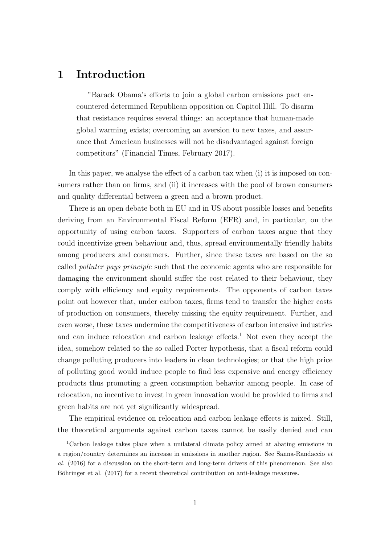# 1 Introduction

"Barack Obama's efforts to join a global carbon emissions pact encountered determined Republican opposition on Capitol Hill. To disarm that resistance requires several things: an acceptance that human-made global warming exists; overcoming an aversion to new taxes, and assurance that American businesses will not be disadvantaged against foreign competitors" (Financial Times, February 2017).

In this paper, we analyse the effect of a carbon tax when (i) it is imposed on consumers rather than on firms, and (ii) it increases with the pool of brown consumers and quality differential between a green and a brown product.

There is an open debate both in EU and in US about possible losses and benefits deriving from an Environmental Fiscal Reform (EFR) and, in particular, on the opportunity of using carbon taxes. Supporters of carbon taxes argue that they could incentivize green behaviour and, thus, spread environmentally friendly habits among producers and consumers. Further, since these taxes are based on the so called polluter pays principle such that the economic agents who are responsible for damaging the environment should suffer the cost related to their behaviour, they comply with efficiency and equity requirements. The opponents of carbon taxes point out however that, under carbon taxes, firms tend to transfer the higher costs of production on consumers, thereby missing the equity requirement. Further, and even worse, these taxes undermine the competitiveness of carbon intensive industries and can induce relocation and carbon leakage effects.<sup>1</sup> Not even they accept the idea, somehow related to the so called Porter hypothesis, that a fiscal reform could change polluting producers into leaders in clean technologies; or that the high price of polluting good would induce people to find less expensive and energy efficiency products thus promoting a green consumption behavior among people. In case of relocation, no incentive to invest in green innovation would be provided to firms and green habits are not yet significantly widespread.

The empirical evidence on relocation and carbon leakage effects is mixed. Still, the theoretical arguments against carbon taxes cannot be easily denied and can

<sup>1</sup>Carbon leakage takes place when a unilateral climate policy aimed at abating emissions in a region/country determines an increase in emissions in another region. See Sanna-Randaccio et al. (2016) for a discussion on the short-term and long-term drivers of this phenomenon. See also Böhringer et al. (2017) for a recent theoretical contribution on anti-leakage measures.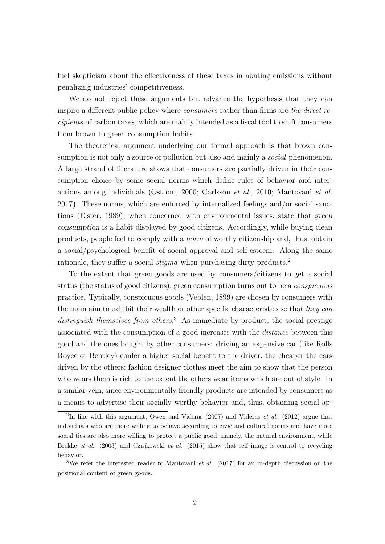fuel skepticism about the effectiveness of these taxes in abating emissions without penalizing industries' competitiveness.

We do not reject these arguments but advance the hypothesis that they can inspire a different public policy where consumers rather than firms are the direct recipients of carbon taxes, which are mainly intended as a fiscal tool to shift consumers from brown to green consumption habits.

The theoretical argument underlying our formal approach is that brown consumption is not only a source of pollution but also and mainly a *social* phenomenon. A large strand of literature shows that consumers are partially driven in their consumption choice by some social norms which define rules of behavior and interactions among individuals (Ostrom, 2000; Carlsson et al., 2010; Mantovani et al. 2017). These norms, which are enforced by internalized feelings and/or social sanctions (Elster, 1989), when concerned with environmental issues, state that green consumption is a habit displayed by good citizens. Accordingly, while buying clean products, people feel to comply with a norm of worthy citizenship and, thus, obtain a social/psychological benefit of social approval and self-esteem. Along the same rationale, they suffer a social *stigma* when purchasing dirty products.<sup>2</sup>

To the extent that green goods are used by consumers/citizens to get a social status (the status of good citizens), green consumption turns out to be a conspicuous practice. Typically, conspicuous goods (Veblen, 1899) are chosen by consumers with the main aim to exhibit their wealth or other specific characteristics so that they can distinguish themselves from others.<sup>3</sup> As immediate by-product, the social prestige associated with the consumption of a good increases with the distance between this good and the ones bought by other consumers: driving an expensive car (like Rolls Royce or Bentley) confer a higher social benefit to the driver, the cheaper the cars driven by the others; fashion designer clothes meet the aim to show that the person who wears them is rich to the extent the others wear items which are out of style. In a similar vein, since environmentally friendly products are intended by consumers as a means to advertise their socially worthy behavior and, thus, obtaining social ap-

<sup>&</sup>lt;sup>2</sup>In line with this argument, Owen and Videras  $(2007)$  and Videras *et al.*  $(2012)$  argue that individuals who are more willing to behave according to civic and cultural norms and have more social ties are also more willing to protect a public good, namely, the natural environment, while Brekke et al. (2003) and Czajkowski et al. (2015) show that self image is central to recycling behavior.

<sup>&</sup>lt;sup>3</sup>We refer the interested reader to Mantovani *et al.* (2017) for an in-depth discussion on the positional content of green goods.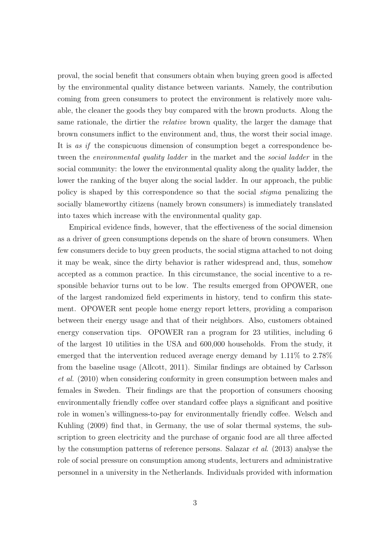proval, the social benefit that consumers obtain when buying green good is affected by the environmental quality distance between variants. Namely, the contribution coming from green consumers to protect the environment is relatively more valuable, the cleaner the goods they buy compared with the brown products. Along the same rationale, the dirtier the *relative* brown quality, the larger the damage that brown consumers inflict to the environment and, thus, the worst their social image. It is as if the conspicuous dimension of consumption beget a correspondence between the *environmental quality ladder* in the market and the *social ladder* in the social community: the lower the environmental quality along the quality ladder, the lower the ranking of the buyer along the social ladder. In our approach, the public policy is shaped by this correspondence so that the social stigma penalizing the socially blameworthy citizens (namely brown consumers) is immediately translated into taxes which increase with the environmental quality gap.

Empirical evidence finds, however, that the effectiveness of the social dimension as a driver of green consumptions depends on the share of brown consumers. When few consumers decide to buy green products, the social stigma attached to not doing it may be weak, since the dirty behavior is rather widespread and, thus, somehow accepted as a common practice. In this circumstance, the social incentive to a responsible behavior turns out to be low. The results emerged from OPOWER, one of the largest randomized field experiments in history, tend to confirm this statement. OPOWER sent people home energy report letters, providing a comparison between their energy usage and that of their neighbors. Also, customers obtained energy conservation tips. OPOWER ran a program for 23 utilities, including 6 of the largest 10 utilities in the USA and 600,000 households. From the study, it emerged that the intervention reduced average energy demand by 1.11% to 2.78% from the baseline usage (Allcott, 2011). Similar findings are obtained by Carlsson et al. (2010) when considering conformity in green consumption between males and females in Sweden. Their findings are that the proportion of consumers choosing environmentally friendly coffee over standard coffee plays a significant and positive role in women's willingness-to-pay for environmentally friendly coffee. Welsch and Kuhling (2009) find that, in Germany, the use of solar thermal systems, the subscription to green electricity and the purchase of organic food are all three affected by the consumption patterns of reference persons. Salazar et al. (2013) analyse the role of social pressure on consumption among students, lecturers and administrative personnel in a university in the Netherlands. Individuals provided with information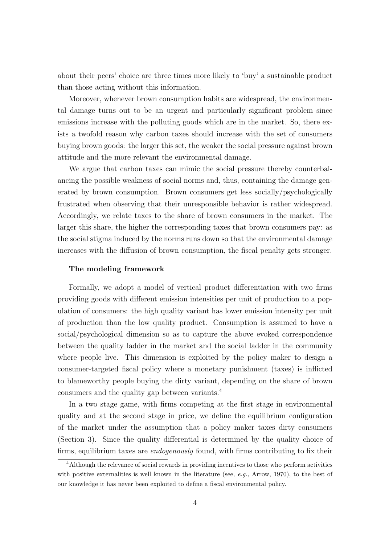about their peers' choice are three times more likely to 'buy' a sustainable product than those acting without this information.

Moreover, whenever brown consumption habits are widespread, the environmental damage turns out to be an urgent and particularly significant problem since emissions increase with the polluting goods which are in the market. So, there exists a twofold reason why carbon taxes should increase with the set of consumers buying brown goods: the larger this set, the weaker the social pressure against brown attitude and the more relevant the environmental damage.

We argue that carbon taxes can mimic the social pressure thereby counterbalancing the possible weakness of social norms and, thus, containing the damage generated by brown consumption. Brown consumers get less socially/psychologically frustrated when observing that their unresponsible behavior is rather widespread. Accordingly, we relate taxes to the share of brown consumers in the market. The larger this share, the higher the corresponding taxes that brown consumers pay: as the social stigma induced by the norms runs down so that the environmental damage increases with the diffusion of brown consumption, the fiscal penalty gets stronger.

#### The modeling framework

Formally, we adopt a model of vertical product differentiation with two firms providing goods with different emission intensities per unit of production to a population of consumers: the high quality variant has lower emission intensity per unit of production than the low quality product. Consumption is assumed to have a social/psychological dimension so as to capture the above evoked correspondence between the quality ladder in the market and the social ladder in the community where people live. This dimension is exploited by the policy maker to design a consumer-targeted fiscal policy where a monetary punishment (taxes) is inflicted to blameworthy people buying the dirty variant, depending on the share of brown consumers and the quality gap between variants.<sup>4</sup>

In a two stage game, with firms competing at the first stage in environmental quality and at the second stage in price, we define the equilibrium configuration of the market under the assumption that a policy maker taxes dirty consumers (Section 3). Since the quality differential is determined by the quality choice of firms, equilibrium taxes are endogenously found, with firms contributing to fix their

<sup>&</sup>lt;sup>4</sup>Although the relevance of social rewards in providing incentives to those who perform activities with positive externalities is well known in the literature (see, e.g., Arrow, 1970), to the best of our knowledge it has never been exploited to define a fiscal environmental policy.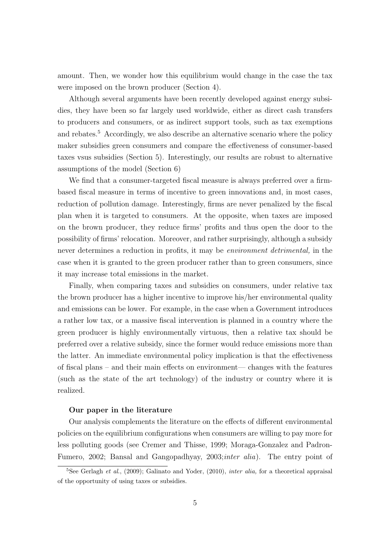amount. Then, we wonder how this equilibrium would change in the case the tax were imposed on the brown producer (Section 4).

Although several arguments have been recently developed against energy subsidies, they have been so far largely used worldwide, either as direct cash transfers to producers and consumers, or as indirect support tools, such as tax exemptions and rebates.<sup>5</sup> Accordingly, we also describe an alternative scenario where the policy maker subsidies green consumers and compare the effectiveness of consumer-based taxes vsus subsidies (Section 5). Interestingly, our results are robust to alternative assumptions of the model (Section 6)

We find that a consumer-targeted fiscal measure is always preferred over a firmbased fiscal measure in terms of incentive to green innovations and, in most cases, reduction of pollution damage. Interestingly, firms are never penalized by the fiscal plan when it is targeted to consumers. At the opposite, when taxes are imposed on the brown producer, they reduce firms' profits and thus open the door to the possibility of firms' relocation. Moreover, and rather surprisingly, although a subsidy never determines a reduction in profits, it may be *environment detrimental*, in the case when it is granted to the green producer rather than to green consumers, since it may increase total emissions in the market.

Finally, when comparing taxes and subsidies on consumers, under relative tax the brown producer has a higher incentive to improve his/her environmental quality and emissions can be lower. For example, in the case when a Government introduces a rather low tax, or a massive fiscal intervention is planned in a country where the green producer is highly environmentally virtuous, then a relative tax should be preferred over a relative subsidy, since the former would reduce emissions more than the latter. An immediate environmental policy implication is that the effectiveness of fiscal plans – and their main effects on environment— changes with the features (such as the state of the art technology) of the industry or country where it is realized.

#### Our paper in the literature

Our analysis complements the literature on the effects of different environmental policies on the equilibrium configurations when consumers are willing to pay more for less polluting goods (see Cremer and Thisse, 1999; Moraga-Gonzalez and Padron-Fumero, 2002; Bansal and Gangopadhyay, 2003;*inter alia*). The entry point of

<sup>&</sup>lt;sup>5</sup>See Gerlagh *et al.*, (2009); Galinato and Yoder, (2010), *inter alia*, for a theoretical appraisal of the opportunity of using taxes or subsidies.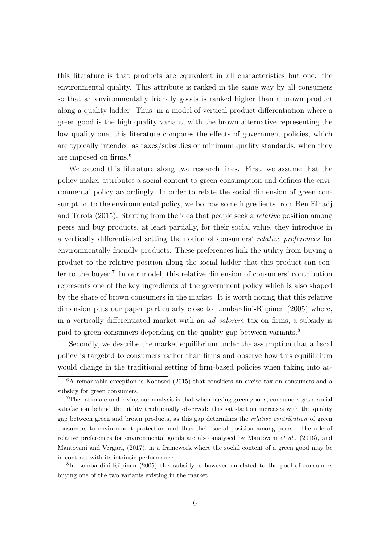this literature is that products are equivalent in all characteristics but one: the environmental quality. This attribute is ranked in the same way by all consumers so that an environmentally friendly goods is ranked higher than a brown product along a quality ladder. Thus, in a model of vertical product differentiation where a green good is the high quality variant, with the brown alternative representing the low quality one, this literature compares the effects of government policies, which are typically intended as taxes/subsidies or minimum quality standards, when they are imposed on firms.<sup>6</sup>

We extend this literature along two research lines. First, we assume that the policy maker attributes a social content to green consumption and defines the environmental policy accordingly. In order to relate the social dimension of green consumption to the environmental policy, we borrow some ingredients from Ben Elhadj and Tarola (2015). Starting from the idea that people seek a relative position among peers and buy products, at least partially, for their social value, they introduce in a vertically differentiated setting the notion of consumers' relative preferences for environmentally friendly products. These preferences link the utility from buying a product to the relative position along the social ladder that this product can confer to the buyer.<sup>7</sup> In our model, this relative dimension of consumers' contribution represents one of the key ingredients of the government policy which is also shaped by the share of brown consumers in the market. It is worth noting that this relative dimension puts our paper particularly close to Lombardini-Riipinen (2005) where, in a vertically differentiated market with an ad valorem tax on firms, a subsidy is paid to green consumers depending on the quality gap between variants.<sup>8</sup>

Secondly, we describe the market equilibrium under the assumption that a fiscal policy is targeted to consumers rather than firms and observe how this equilibrium would change in the traditional setting of firm-based policies when taking into ac-

8 In Lombardini-Riipinen (2005) this subsidy is however unrelated to the pool of consumers buying one of the two variants existing in the market.

<sup>6</sup>A remarkable exception is Koonsed (2015) that considers an excise tax on consumers and a subsidy for green consumers.

<sup>7</sup>The rationale underlying our analysis is that when buying green goods, consumers get a social satisfaction behind the utility traditionally observed: this satisfaction increases with the quality gap between green and brown products, as this gap determines the relative contribution of green consumers to environment protection and thus their social position among peers. The role of relative preferences for environmental goods are also analysed by Mantovani et al., (2016), and Mantovani and Vergari, (2017), in a framework where the social content of a green good may be in contrast with its intrinsic performance.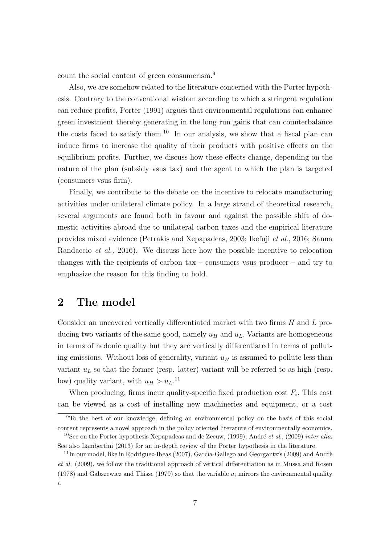count the social content of green consumerism.<sup>9</sup>

Also, we are somehow related to the literature concerned with the Porter hypothesis. Contrary to the conventional wisdom according to which a stringent regulation can reduce profits, Porter (1991) argues that environmental regulations can enhance green investment thereby generating in the long run gains that can counterbalance the costs faced to satisfy them.<sup>10</sup> In our analysis, we show that a fiscal plan can induce firms to increase the quality of their products with positive effects on the equilibrium profits. Further, we discuss how these effects change, depending on the nature of the plan (subsidy vsus tax) and the agent to which the plan is targeted (consumers vsus firm).

Finally, we contribute to the debate on the incentive to relocate manufacturing activities under unilateral climate policy. In a large strand of theoretical research, several arguments are found both in favour and against the possible shift of domestic activities abroad due to unilateral carbon taxes and the empirical literature provides mixed evidence (Petrakis and Xepapadeas, 2003; Ikefuji et al., 2016; Sanna Randaccio et al., 2016). We discuss here how the possible incentive to relocation changes with the recipients of carbon tax – consumers vsus producer – and try to emphasize the reason for this finding to hold.

# 2 The model

Consider an uncovered vertically differentiated market with two firms H and L producing two variants of the same good, namely  $u_H$  and  $u_L$ . Variants are homogeneous in terms of hedonic quality but they are vertically differentiated in terms of polluting emissions. Without loss of generality, variant  $u_H$  is assumed to pollute less than variant  $u<sub>L</sub>$  so that the former (resp. latter) variant will be referred to as high (resp. low) quality variant, with  $u_H > u_L$ .<sup>11</sup>

When producing, firms incur quality-specific fixed production cost  $F_i$ . This cost can be viewed as a cost of installing new machineries and equipment, or a cost

<sup>9</sup>To the best of our knowledge, defining an environmental policy on the basis of this social content represents a novel approach in the policy oriented literature of environmentally economics. <sup>10</sup>See on the Porter hypothesis Xepapadeas and de Zeeuw, (1999); André *et al.*, (2009) *inter alia.* 

See also Lambertini (2013) for an in-depth review of the Porter hypothesis in the literature.

 $11$ In our model, like in Rodriguez-Ibeas (2007), García-Gallego and Georgantzís (2009) and Andrè et al. (2009), we follow the traditional approach of vertical differentiation as in Mussa and Rosen (1978) and Gabszewicz and Thisse (1979) so that the variable  $u_i$  mirrors the environmental quality i.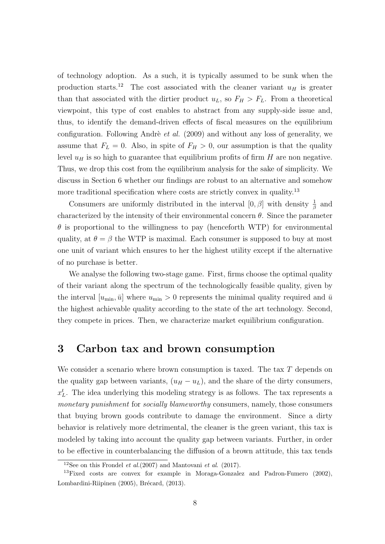of technology adoption. As a such, it is typically assumed to be sunk when the production starts.<sup>12</sup> The cost associated with the cleaner variant  $u_H$  is greater than that associated with the dirtier product  $u<sub>L</sub>$ , so  $F<sub>H</sub> > F<sub>L</sub>$ . From a theoretical viewpoint, this type of cost enables to abstract from any supply-side issue and, thus, to identify the demand-driven effects of fiscal measures on the equilibrium configuration. Following Andrè *et al.*  $(2009)$  and without any loss of generality, we assume that  $F_L = 0$ . Also, in spite of  $F_H > 0$ , our assumption is that the quality level  $u_H$  is so high to guarantee that equilibrium profits of firm H are non negative. Thus, we drop this cost from the equilibrium analysis for the sake of simplicity. We discuss in Section 6 whether our findings are robust to an alternative and somehow more traditional specification where costs are strictly convex in quality.<sup>13</sup>

Consumers are uniformly distributed in the interval  $[0, \beta]$  with density  $\frac{1}{\beta}$  and characterized by the intensity of their environmental concern  $\theta$ . Since the parameter  $\theta$  is proportional to the willingness to pay (henceforth WTP) for environmental quality, at  $\theta = \beta$  the WTP is maximal. Each consumer is supposed to buy at most one unit of variant which ensures to her the highest utility except if the alternative of no purchase is better.

We analyse the following two-stage game. First, firms choose the optimal quality of their variant along the spectrum of the technologically feasible quality, given by the interval  $[u_{\min}, \bar{u}]$  where  $u_{\min} > 0$  represents the minimal quality required and  $\bar{u}$ the highest achievable quality according to the state of the art technology. Second, they compete in prices. Then, we characterize market equilibrium configuration.

# 3 Carbon tax and brown consumption

We consider a scenario where brown consumption is taxed. The tax  $T$  depends on the quality gap between variants,  $(u_H - u_L)$ , and the share of the dirty consumers,  $x_L^t$ . The idea underlying this modeling strategy is as follows. The tax represents a monetary punishment for socially blameworthy consumers, namely, those consumers that buying brown goods contribute to damage the environment. Since a dirty behavior is relatively more detrimental, the cleaner is the green variant, this tax is modeled by taking into account the quality gap between variants. Further, in order to be effective in counterbalancing the diffusion of a brown attitude, this tax tends

<sup>&</sup>lt;sup>12</sup>See on this Frondel *et al.*(2007) and Mantovani *et al.* (2017).

<sup>&</sup>lt;sup>13</sup>Fixed costs are convex for example in Moraga-Gonzalez and Padron-Fumero  $(2002)$ , Lombardini-Riipinen (2005), Brécard, (2013).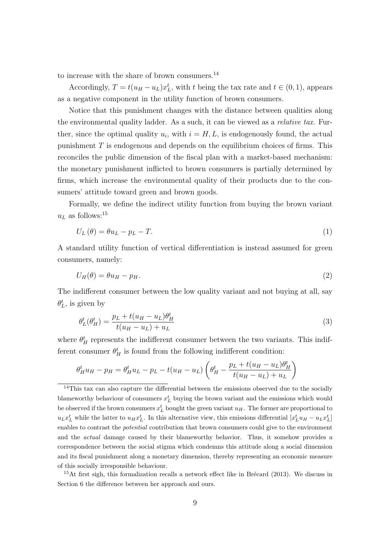to increase with the share of brown consumers.<sup>14</sup>

Accordingly,  $T = t(u_H - u_L)x_L^t$ , with t being the tax rate and  $t \in (0, 1)$ , appears as a negative component in the utility function of brown consumers.

Notice that this punishment changes with the distance between qualities along the environmental quality ladder. As a such, it can be viewed as a relative tax. Further, since the optimal quality  $u_i$ , with  $i = H, L$ , is endogenously found, the actual punishment T is endogenous and depends on the equilibrium choices of firms. This reconciles the public dimension of the fiscal plan with a market-based mechanism: the monetary punishment inflicted to brown consumers is partially determined by firms, which increase the environmental quality of their products due to the consumers' attitude toward green and brown goods.

Formally, we define the indirect utility function from buying the brown variant  $u_L$  as follows:<sup>15</sup>

$$
U_L(\theta) = \theta u_L - p_L - T.
$$
\n<sup>(1)</sup>

A standard utility function of vertical differentiation is instead assumed for green consumers, namely:

$$
U_H(\theta) = \theta u_H - p_H. \tag{2}
$$

The indifferent consumer between the low quality variant and not buying at all, say  $\theta_L^t$ , is given by

$$
\theta_L^t(\theta_H^t) = \frac{p_L + t(u_H - u_L)\theta_H^t}{t(u_H - u_L) + u_L} \tag{3}
$$

where  $\theta_H^t$  represents the indifferent consumer between the two variants. This indifferent consumer  $\theta_H^t$  is found from the following indifferent condition:

$$
\theta_H^t u_H - p_H = \theta_H^t u_L - p_L - t(u_H - u_L) \left( \theta_H^t - \frac{p_L + t(u_H - u_L)\theta_H^t}{t(u_H - u_L) + u_L} \right)
$$

 $15$ At first sigh, this formalization recalls a network effect like in Brécard (2013). We discuss in Section 6 the difference between her approach and ours.

<sup>&</sup>lt;sup>14</sup>This tax can also capture the differential between the emissions observed due to the socially blameworthy behaviour of consumers  $x_L^t$  buying the brown variant and the emissions which would be observed if the brown consumers  $x_L^t$  bought the green variant  $u_H$ . The former are proportional to  $u_L x_L^t$  while the latter to  $u_H x_L^t$ . In this alternative view, this emissions differential  $[x_L^t u_H - u_L x_L^t]$ enables to contrast the *potential* contribution that brown consumers could give to the environment and the actual damage caused by their blameworthy behavior. Thus, it somehow provides a correspondence between the social stigma which condemns this attitude along a social dimension and its fiscal punishment along a monetary dimension, thereby representing an economic measure of this socially irresponsible behaviour.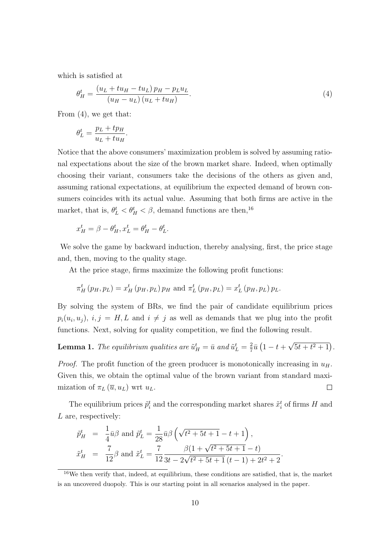which is satisfied at

$$
\theta_H^t = \frac{\left(u_L + tu_H - tu_L\right)p_H - p_L u_L}{\left(u_H - u_L\right)\left(u_L + tu_H\right)}.\tag{4}
$$

From (4), we get that:

$$
\theta_L^t = \frac{p_L + tp_H}{u_L + tu_H}.
$$

Notice that the above consumers' maximization problem is solved by assuming rational expectations about the size of the brown market share. Indeed, when optimally choosing their variant, consumers take the decisions of the others as given and, assuming rational expectations, at equilibrium the expected demand of brown consumers coincides with its actual value. Assuming that both firms are active in the market, that is,  $\theta_L^t < \theta_H^t < \beta$ , demand functions are then,<sup>16</sup>

$$
x_H^t = \beta - \theta_H^t, x_L^t = \theta_H^t - \theta_L^t.
$$

We solve the game by backward induction, thereby analysing, first, the price stage and, then, moving to the quality stage.

At the price stage, firms maximize the following profit functions:

$$
\pi_H^t(p_H, p_L) = x_H^t(p_H, p_L) p_H
$$
 and  $\pi_L^t(p_H, p_L) = x_L^t(p_H, p_L) p_L$ .

By solving the system of BRs, we find the pair of candidate equilibrium prices  $p_i(u_i, u_j)$ ,  $i, j = H, L$  and  $i \neq j$  as well as demands that we plug into the profit functions. Next, solving for quality competition, we find the following result.

**Lemma 1.** The equilibrium qualities are  $\tilde{u}^t_H = \bar{u}$  and  $\tilde{u}^t_L = \frac{2}{7}$  $\frac{2}{7}\bar{u}(1-t +$ √  $5t + t^2 + 1$ .

*Proof.* The profit function of the green producer is monotonically increasing in  $u_H$ . Given this, we obtain the optimal value of the brown variant from standard maximization of  $\pi_L(\overline{u}, u_L)$  wrt  $u_L$ .  $\Box$ 

The equilibrium prices  $\tilde{p}_i^t$  and the corresponding market shares  $\tilde{x}_i^t$  of firms H and L are, respectively:

$$
\tilde{p}_{H}^{t} = \frac{1}{4}\bar{u}\beta \text{ and } \tilde{p}_{L}^{t} = \frac{1}{28}\bar{u}\beta\left(\sqrt{t^{2} + 5t + 1} - t + 1\right),
$$
\n
$$
\tilde{x}_{H}^{t} = \frac{7}{12}\beta \text{ and } \tilde{x}_{L}^{t} = \frac{7}{12}\frac{\beta(1 + \sqrt{t^{2} + 5t + 1} - t)}{3t - 2\sqrt{t^{2} + 5t + 1}(t - 1) + 2t^{2} + 2}.
$$

<sup>16</sup>We then verify that, indeed, at equilibrium, these conditions are satisfied, that is, the market is an uncovered duopoly. This is our starting point in all scenarios analysed in the paper.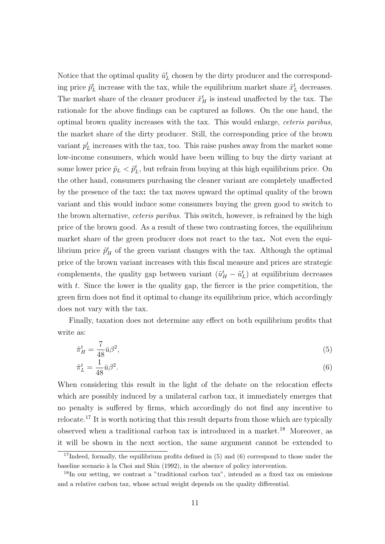Notice that the optimal quality  $\tilde{u}_L^t$  chosen by the dirty producer and the corresponding price  $\tilde{p}_L^t$  increase with the tax, while the equilibrium market share  $\tilde{x}_L^t$  decreases. The market share of the cleaner producer  $\tilde{x}^t_H$  is instead unaffected by the tax. The rationale for the above findings can be captured as follows. On the one hand, the optimal brown quality increases with the tax. This would enlarge, ceteris paribus, the market share of the dirty producer. Still, the corresponding price of the brown variant  $p<sub>L</sub><sup>t</sup>$  increases with the tax, too. This raise pushes away from the market some low-income consumers, which would have been willing to buy the dirty variant at some lower price  $\tilde{p}_L < \tilde{p}_L^t$ , but refrain from buying at this high equilibrium price. On the other hand, consumers purchasing the cleaner variant are completely unaffected by the presence of the tax: the tax moves upward the optimal quality of the brown variant and this would induce some consumers buying the green good to switch to the brown alternative, *ceteris paribus*. This switch, however, is refrained by the high price of the brown good. As a result of these two contrasting forces, the equilibrium market share of the green producer does not react to the tax. Not even the equilibrium price  $\tilde{p}^t$  of the green variant changes with the tax. Although the optimal price of the brown variant increases with this fiscal measure and prices are strategic complements, the quality gap between variant  $(\tilde{u}^t_H - \tilde{u}^t_L)$  at equilibrium decreases with  $t$ . Since the lower is the quality gap, the fiercer is the price competition, the green firm does not find it optimal to change its equilibrium price, which accordingly does not vary with the tax.

Finally, taxation does not determine any effect on both equilibrium profits that write as:

$$
\tilde{\pi}_H^t = \frac{7}{48}\bar{u}\beta^2,\tag{5}
$$

$$
\tilde{\pi}_L^t = \frac{1}{48}\bar{u}\beta^2. \tag{6}
$$

When considering this result in the light of the debate on the relocation effects which are possibly induced by a unilateral carbon tax, it immediately emerges that no penalty is suffered by firms, which accordingly do not find any incentive to relocate.<sup>17</sup> It is worth noticing that this result departs from those which are typically observed when a traditional carbon tax is introduced in a market.<sup>18</sup> Moreover, as it will be shown in the next section, the same argument cannot be extended to

 $17$ Indeed, formally, the equilibrium profits defined in (5) and (6) correspond to those under the baseline scenario à la Choi and Shin (1992), in the absence of policy intervention.

<sup>18</sup>In our setting, we contrast a "traditional carbon tax", intended as a fixed tax on emissions and a relative carbon tax, whose actual weight depends on the quality differential.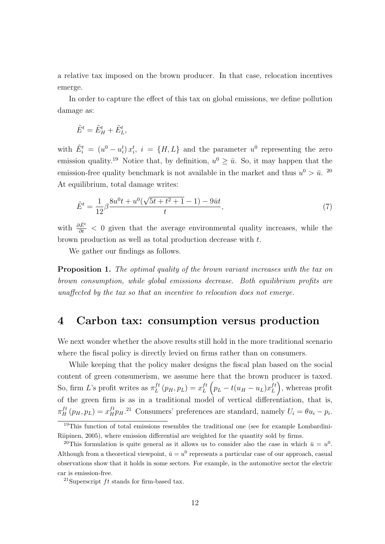a relative tax imposed on the brown producer. In that case, relocation incentives emerge.

In order to capture the effect of this tax on global emissions, we define pollution damage as:

$$
\tilde{E}^t = \tilde{E}^t_H + \tilde{E}^t_L,
$$

with  $\tilde{E}_i^t = (u^0 - u_i^t) x_i^t$ ,  $i = \{H, L\}$  and the parameter  $u^0$  representing the zero emission quality.<sup>19</sup> Notice that, by definition,  $u^0 \geq \bar{u}$ . So, it may happen that the emission-free quality benchmark is not available in the market and thus  $u^0 > \bar{u}$ . <sup>20</sup> At equilibrium, total damage writes:

$$
\tilde{E}^t = \frac{1}{12} \beta \frac{8u^0 t + u^0 (\sqrt{5t + t^2 + 1} - 1) - 9\bar{u}t}{t},\tag{7}
$$

with  $\frac{\partial \tilde{E}^t}{\partial t}$  < 0 given that the average environmental quality increases, while the brown production as well as total production decrease with  $t$ .

We gather our findings as follows.

**Proposition 1.** The optimal quality of the brown variant increases with the tax on brown consumption, while global emissions decrease. Both equilibrium profits are unaffected by the tax so that an incentive to relocation does not emerge.

# 4 Carbon tax: consumption versus production

We next wonder whether the above results still hold in the more traditional scenario where the fiscal policy is directly levied on firms rather than on consumers.

While keeping that the policy maker designs the fiscal plan based on the social content of green consumerism, we assume here that the brown producer is taxed. So, firm L's profit writes as  $\pi_L^{ft}$  $L^{ft}(p_H, p_L) = x_L^{ft}$  $L^{ft}\left(p_L-t(u_H-u_L)x_L^{ft}\right)$  $L^{ft}$ , whereas profit of the green firm is as in a traditional model of vertical differentiation, that is,  $\pi_H^{ft}(p_H, p_L) = x_H^{ft} p_H$ .<sup>21</sup> Consumers' preferences are standard, namely  $U_i = \theta u_i - p_i$ .

<sup>19</sup>This function of total emissions resembles the traditional one (see for example Lombardini-Riipinen, 2005), where emission differential are weighted for the quantity sold by firms.

<sup>&</sup>lt;sup>20</sup>This formulation is quite general as it allows us to consider also the case in which  $\bar{u} = u^0$ . Although from a theoretical viewpoint,  $\bar{u} = u^0$  represents a particular case of our approach, casual observations show that it holds in some sectors. For example, in the automotive sector the electric car is emission-free.

<sup>&</sup>lt;sup>21</sup>Superscript  $ft$  stands for firm-based tax.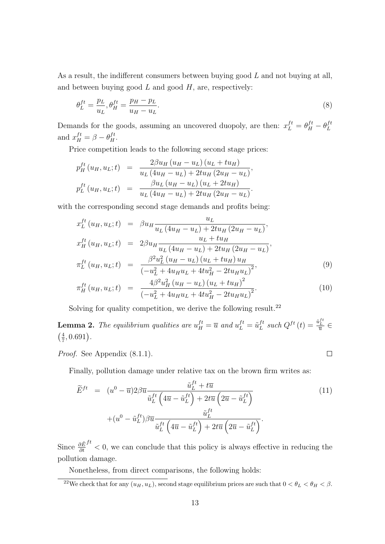As a result, the indifferent consumers between buying good L and not buying at all, and between buying good  $L$  and good  $H$ , are, respectively:

$$
\theta_L^{ft} = \frac{p_L}{u_L}, \theta_H^{ft} = \frac{p_H - p_L}{u_H - u_L}.\tag{8}
$$

Demands for the goods, assuming an uncovered duopoly, are then:  $x_L^{ft} = \theta_H^{ft} - \theta_L^{ft}$ L and  $x_H^{ft} = \beta - \theta_H^{ft}$ .

Price competition leads to the following second stage prices:

$$
p_{H}^{ft}(u_{H}, u_{L}; t) = \frac{2\beta u_{H}(u_{H} - u_{L})(u_{L} + tu_{H})}{u_{L}(4u_{H} - u_{L}) + 2tu_{H}(2u_{H} - u_{L})},
$$
  

$$
p_{L}^{ft}(u_{H}, u_{L}; t) = \frac{\beta u_{L}(u_{H} - u_{L})(u_{L} + 2tu_{H})}{u_{L}(4u_{H} - u_{L}) + 2tu_{H}(2u_{H} - u_{L})}.
$$

with the corresponding second stage demands and profits being:

$$
x_L^{ft}(u_H, u_L; t) = \beta u_H \frac{u_L}{u_L (4u_H - u_L) + 2tu_H (2u_H - u_L)},
$$
  
\n
$$
x_H^{ft}(u_H, u_L; t) = 2\beta u_H \frac{u_L + tu_H}{u_L (4u_H - u_L) + 2tu_H (2u_H - u_L)},
$$
  
\n
$$
\pi_L^{ft}(u_H, u_L; t) = \frac{\beta^2 u_L^2 (u_H - u_L) (u_L + tu_H) u_H}{(-u_L^2 + 4u_H u_L + 4tu_H^2 - 2tu_H u_L)^2},
$$
\n(9)

$$
\pi_H^{ft}(u_H, u_L; t) = \frac{4\beta^2 u_H^2 (u_H - u_L) (u_L + t u_H)^2}{\left(-u_L^2 + 4u_H u_L + 4t u_H^2 - 2t u_H u_L\right)^2}.
$$
\n(10)

Solving for quality competition, we derive the following result.<sup>22</sup>

**Lemma 2.** The equilibrium qualities are  $u_H^{ft} = \overline{u}$  and  $u_L^{ft} = \tilde{u}_L^{ft}$  $L_t^{ft}$  such  $Q^{ft}(t) = \frac{\tilde{u}_L^{ft}}{\overline{u}} \in$  $\left(\frac{4}{7}\right)$  $\frac{4}{7}, 0.691$ .

Proof. See Appendix (8.1.1).

Finally, pollution damage under relative tax on the brown firm writes as:

$$
\widetilde{E}^{ft} = (u^0 - \overline{u})2\beta \overline{u} \frac{\widetilde{u}_L^{ft} + t\overline{u}}{\widetilde{u}_L^{ft} \left(4\overline{u} - \widetilde{u}_L^{ft}\right) + 2t\overline{u} \left(2\overline{u} - \widetilde{u}_L^{ft}\right)} \n+ (u^0 - \widetilde{u}_L^{ft})\beta \overline{u} \frac{\widetilde{u}_L^{ft}}{\widetilde{u}_L^{ft} \left(4\overline{u} - \widetilde{u}_L^{ft}\right) + 2t\overline{u} \left(2\overline{u} - \widetilde{u}_L^{ft}\right)}.
$$
\n(11)

 $\Box$ 

Since  $\frac{\partial \tilde{E}}{\partial t}$  $f<sup>t</sup>$  < 0, we can conclude that this policy is always effective in reducing the pollution damage.

Nonetheless, from direct comparisons, the following holds:

<sup>&</sup>lt;sup>22</sup>We check that for any  $(u_H, u_L)$ , second stage equilibrium prices are such that  $0 < \theta_L < \theta_H < \beta$ .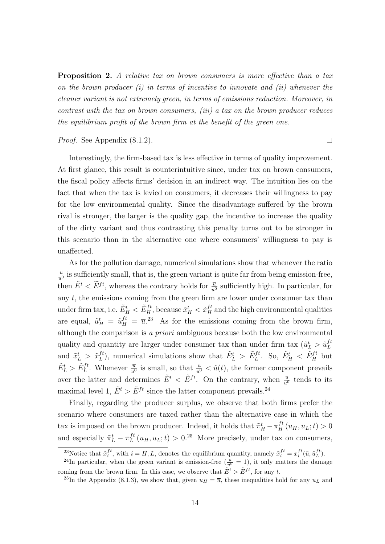Proposition 2. A relative tax on brown consumers is more effective than a tax on the brown producer  $(i)$  in terms of incentive to innovate and  $(ii)$  whenever the cleaner variant is not extremely green, in terms of emissions reduction. Moreover, in contrast with the tax on brown consumers, (iii) a tax on the brown producer reduces the equilibrium profit of the brown firm at the benefit of the green one.

 $\Box$ 

#### Proof. See Appendix (8.1.2).

Interestingly, the firm-based tax is less effective in terms of quality improvement. At first glance, this result is counterintuitive since, under tax on brown consumers, the fiscal policy affects firms' decision in an indirect way. The intuition lies on the fact that when the tax is levied on consumers, it decreases their willingness to pay for the low environmental quality. Since the disadvantage suffered by the brown rival is stronger, the larger is the quality gap, the incentive to increase the quality of the dirty variant and thus contrasting this penalty turns out to be stronger in this scenario than in the alternative one where consumers' willingness to pay is unaffected.

As for the pollution damage, numerical simulations show that whenever the ratio  $\overline{u}$  $\frac{\overline{u}}{u^0}$  is sufficiently small, that is, the green variant is quite far from being emission-free, then  $\tilde{E}^t < \tilde{E}^{ft}$ , whereas the contrary holds for  $\frac{\overline{u}}{u^0}$  sufficiently high. In particular, for any  $t$ , the emissions coming from the green firm are lower under consumer tax than under firm tax, i.e.  $\tilde{E}^t_H < \tilde{E}^{ft}_H$ , because  $\tilde{x}^t_H < \tilde{x}^{ft}_H$  and the high environmental qualities are equal,  $\tilde{u}^t_H = \tilde{u}^{ft}_H = \overline{u}^{23}$ . As for the emissions coming from the brown firm, although the comparison is a priori ambiguous because both the low environmental quality and quantity are larger under consumer tax than under firm tax  $(\tilde{u}^t_L > \tilde{u}^{ft}_L)$ L and  $\tilde{x}_L^t > \tilde{x}_L^{ft}$  $L^{ft}$ ), numerical simulations show that  $\tilde{E}^t_L > \tilde{E}^{ft}_L$ . So,  $\tilde{E}^t_H < \tilde{E}^{ft}_H$  but  $\tilde{E}_L^t > \tilde{E}_L^{ft}$ . Whenever  $\frac{\bar{u}}{u^0}$  is small, so that  $\frac{\bar{u}}{u^0} < \hat{u}(t)$ , the former component prevails over the latter and determines  $\tilde{E}^t < \tilde{E}^{ft}$ . On the contrary, when  $\frac{\overline{u}}{u^0}$  tends to its maximal level 1,  $\tilde{E}^t > \tilde{E}^{ft}$  since the latter component prevails.<sup>24</sup>

Finally, regarding the producer surplus, we observe that both firms prefer the scenario where consumers are taxed rather than the alternative case in which the tax is imposed on the brown producer. Indeed, it holds that  $\tilde{\pi}_H^t - \pi_H^{ft}(u_H, u_L; t) > 0$ and especially  $\tilde{\pi}_L^t - \pi_L^{ft}$  $L^{ft}(u_H, u_L; t) > 0^{25}$  More precisely, under tax on consumers,

<sup>&</sup>lt;sup>23</sup>Notice that  $\tilde{x}_i^{ft}$ , with  $i = H, L$ , denotes the equilibrium quantity, namely  $\tilde{x}_i^{ft} = x_i^{ft}(\bar{u}, \tilde{u}_L^{ft})$ .

<sup>&</sup>lt;sup>24</sup>In particular, when the green variant is emission-free ( $\frac{\overline{u}}{u^0} = 1$ ), it only matters the damage coming from the brown firm. In this case, we observe that  $\tilde{E}^t > \tilde{E}^{ft}$ , for any t.

<sup>&</sup>lt;sup>25</sup>In the Appendix (8.1.3), we show that, given  $u_H = \overline{u}$ , these inequalities hold for any  $u_L$  and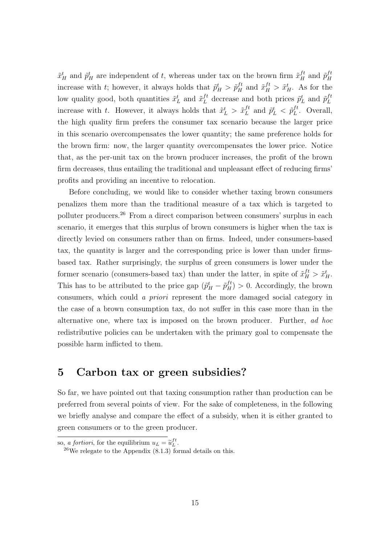$\tilde{x}_H^t$  and  $\tilde{p}_H^t$  are independent of t, whereas under tax on the brown firm  $\tilde{x}_H^{ft}$  and  $\tilde{p}_H^{ft}$ H increase with t; however, it always holds that  $\tilde{p}^t_H > \tilde{p}^{ft}_H$  and  $\tilde{x}^{ft}_H > \tilde{x}^t_H$ . As for the low quality good, both quantities  $\tilde{x}_L^t$  and  $\tilde{x}_L^{ft}$  decrease and both prices  $\tilde{p}_L^t$  and  $\tilde{p}_L^{ft}$ L increase with t. However, it always holds that  $\tilde{x}_L^t > \tilde{x}_L^{ft}$  $L_t^{ft}$  and  $\tilde{p}_L^t < \tilde{p}_L^{ft}$  $L^{t}$ . Overall, the high quality firm prefers the consumer tax scenario because the larger price in this scenario overcompensates the lower quantity; the same preference holds for the brown firm: now, the larger quantity overcompensates the lower price. Notice that, as the per-unit tax on the brown producer increases, the profit of the brown firm decreases, thus entailing the traditional and unpleasant effect of reducing firms' profits and providing an incentive to relocation.

Before concluding, we would like to consider whether taxing brown consumers penalizes them more than the traditional measure of a tax which is targeted to polluter producers.<sup>26</sup> From a direct comparison between consumers' surplus in each scenario, it emerges that this surplus of brown consumers is higher when the tax is directly levied on consumers rather than on firms. Indeed, under consumers-based tax, the quantity is larger and the corresponding price is lower than under firmsbased tax. Rather surprisingly, the surplus of green consumers is lower under the former scenario (consumers-based tax) than under the latter, in spite of  $\tilde{x}_{H}^{ft} > \tilde{x}_{H}^{t}$ . This has to be attributed to the price gap  $(\tilde{p}^t_H - \tilde{p}^{ft}_H) > 0$ . Accordingly, the brown consumers, which could a priori represent the more damaged social category in the case of a brown consumption tax, do not suffer in this case more than in the alternative one, where tax is imposed on the brown producer. Further, ad hoc redistributive policies can be undertaken with the primary goal to compensate the possible harm inflicted to them.

# 5 Carbon tax or green subsidies?

So far, we have pointed out that taxing consumption rather than production can be preferred from several points of view. For the sake of completeness, in the following we briefly analyse and compare the effect of a subsidy, when it is either granted to green consumers or to the green producer.

so, *a fortiori*, for the equilibrium  $u_L = \tilde{u}_L^{ft}$ .<br>  $u_L^{26}$  relevants to the Annealix (8.1.2) for

<sup>&</sup>lt;sup>26</sup>We relegate to the Appendix  $(8.1.3)$  formal details on this.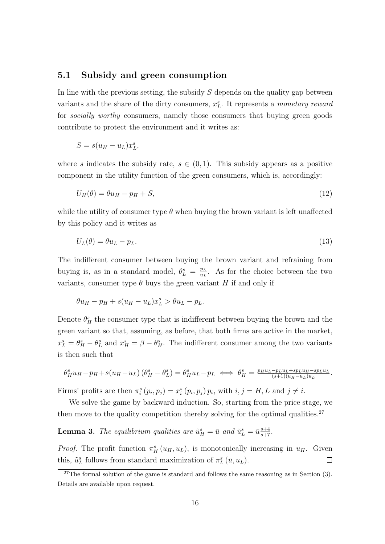### 5.1 Subsidy and green consumption

In line with the previous setting, the subsidy  $S$  depends on the quality gap between variants and the share of the dirty consumers,  $x_L^s$ . It represents a *monetary reward* for *socially worthy* consumers, namely those consumers that buying green goods contribute to protect the environment and it writes as:

$$
S = s(u_H - u_L)x_L^s,
$$

where s indicates the subsidy rate,  $s \in (0,1)$ . This subsidy appears as a positive component in the utility function of the green consumers, which is, accordingly:

$$
U_H(\theta) = \theta u_H - p_H + S,\tag{12}
$$

while the utility of consumer type  $\theta$  when buying the brown variant is left unaffected by this policy and it writes as

$$
U_L(\theta) = \theta u_L - p_L. \tag{13}
$$

The indifferent consumer between buying the brown variant and refraining from buying is, as in a standard model,  $\theta_L^s = \frac{p_L}{u_L}$  $\frac{p_L}{u_L}$ . As for the choice between the two variants, consumer type  $\theta$  buys the green variant H if and only if

$$
\theta u_H - p_H + s(u_H - u_L)x_L^s > \theta u_L - p_L.
$$

Denote  $\theta_H^s$  the consumer type that is indifferent between buying the brown and the green variant so that, assuming, as before, that both firms are active in the market,  $x_L^s = \theta_H^s - \theta_L^s$  and  $x_H^s = \beta - \theta_H^s$ . The indifferent consumer among the two variants is then such that

$$
\theta_H^s u_H - p_H + s(u_H - u_L) \left( \theta_H^s - \theta_L^s \right) = \theta_H^s u_L - p_L \iff \theta_H^s = \frac{p_H u_L - p_L u_L + s p_L u_H - s p_L u_L}{(s+1)(u_H - u_L)u_L}.
$$

Firms' profits are then  $\pi_i^s(p_i, p_j) = x_i^s(p_i, p_j) p_i$ , with  $i, j = H, L$  and  $j \neq i$ .

We solve the game by backward induction. So, starting from the price stage, we then move to the quality competition thereby solving for the optimal qualities.<sup>27</sup>

**Lemma 3.** The equilibrium qualities are  $\tilde{u}_H^s = \bar{u}$  and  $\tilde{u}_L^s = \bar{u} \frac{s+4}{s+7}$ .

*Proof.* The profit function  $\pi_H^s(u_H, u_L)$ , is monotonically increasing in  $u_H$ . Given this,  $\tilde{u}_L^s$  follows from standard maximization of  $\pi_L^s(\bar{u}, u_L)$ .  $\Box$ 

<sup>&</sup>lt;sup>27</sup>The formal solution of the game is standard and follows the same reasoning as in Section (3). Details are available upon request.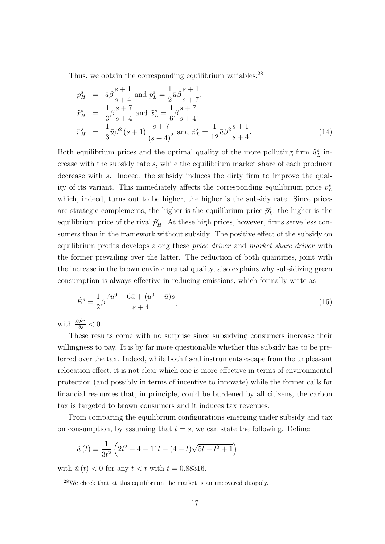Thus, we obtain the corresponding equilibrium variables:<sup>28</sup>

$$
\tilde{p}_{H}^{s} = \bar{u}\beta \frac{s+1}{s+4} \text{ and } \tilde{p}_{L}^{s} = \frac{1}{2}\bar{u}\beta \frac{s+1}{s+7},
$$
\n
$$
\tilde{x}_{H}^{s} = \frac{1}{3}\beta \frac{s+7}{s+4} \text{ and } \tilde{x}_{L}^{s} = \frac{1}{6}\beta \frac{s+7}{s+4},
$$
\n
$$
\tilde{\pi}_{H}^{s} = \frac{1}{3}\bar{u}\beta^{2}(s+1)\frac{s+7}{(s+4)^{2}} \text{ and } \tilde{\pi}_{L}^{s} = \frac{1}{12}\bar{u}\beta^{2}\frac{s+1}{s+4}.
$$
\n(14)

Both equilibrium prices and the optimal quality of the more polluting firm  $\tilde{u}^s_L$  increase with the subsidy rate s, while the equilibrium market share of each producer decrease with s. Indeed, the subsidy induces the dirty firm to improve the quality of its variant. This immediately affects the corresponding equilibrium price  $\tilde{p}_L^s$ which, indeed, turns out to be higher, the higher is the subsidy rate. Since prices are strategic complements, the higher is the equilibrium price  $\tilde{p}_L^s$ , the higher is the equilibrium price of the rival  $\tilde{p}_{H}^{s}$ . At these high prices, however, firms serve less consumers than in the framework without subsidy. The positive effect of the subsidy on equilibrium profits develops along these *price driver* and market share driver with the former prevailing over the latter. The reduction of both quantities, joint with the increase in the brown environmental quality, also explains why subsidizing green consumption is always effective in reducing emissions, which formally write as

$$
\tilde{E}^s = \frac{1}{2}\beta \frac{7u^0 - 6\bar{u} + (u^0 - \bar{u})s}{s+4},\tag{15}
$$

with  $\frac{\partial \tilde{E}^s}{\partial s} < 0$ .

These results come with no surprise since subsidying consumers increase their willingness to pay. It is by far more questionable whether this subsidy has to be preferred over the tax. Indeed, while both fiscal instruments escape from the unpleasant relocation effect, it is not clear which one is more effective in terms of environmental protection (and possibly in terms of incentive to innovate) while the former calls for financial resources that, in principle, could be burdened by all citizens, the carbon tax is targeted to brown consumers and it induces tax revenues.

From comparing the equilibrium configurations emerging under subsidy and tax on consumption, by assuming that  $t = s$ , we can state the following. Define:

$$
\breve{u}(t) \equiv \frac{1}{3t^2} \left( 2t^2 - 4 - 11t + (4+t)\sqrt{5t + t^2 + 1} \right)
$$

with  $\check{u}(t) < 0$  for any  $t < \bar{t}$  with  $\bar{t} = 0.88316$ .

<sup>28</sup>We check that at this equilibrium the market is an uncovered duopoly.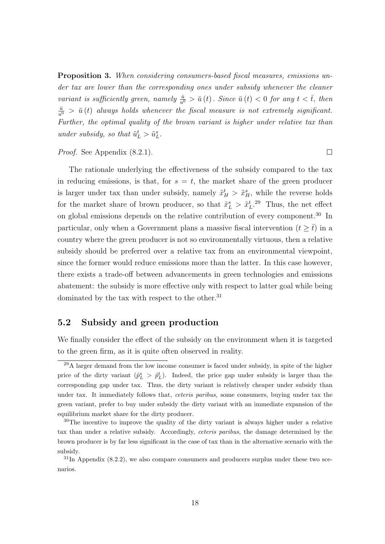Proposition 3. When considering consumers-based fiscal measures, emissions under tax are lower than the corresponding ones under subsidy whenever the cleaner variant is sufficiently green, namely  $\frac{\bar{u}}{u^0} > \breve{u}(t)$ . Since  $\breve{u}(t) < 0$  for any  $t < \bar{t}$ , then  $\frac{\bar{u}}{u^0}$  >  $\breve{u}(t)$  always holds whenever the fiscal measure is not extremely significant. Further, the optimal quality of the brown variant is higher under relative tax than under subsidy, so that  $\tilde{u}_L^t > \tilde{u}_L^s$ .

 $\Box$ 

Proof. See Appendix (8.2.1).

The rationale underlying the effectiveness of the subsidy compared to the tax in reducing emissions, is that, for  $s = t$ , the market share of the green producer is larger under tax than under subsidy, namely  $\tilde{x}^t_H > \tilde{x}^s_H$ , while the reverse holds for the market share of brown producer, so that  $\tilde{x}_L^s > \tilde{x}_L^t$ .<sup>29</sup> Thus, the net effect on global emissions depends on the relative contribution of every component.<sup>30</sup> In particular, only when a Government plans a massive fiscal intervention  $(t \geq \overline{t})$  in a country where the green producer is not so environmentally virtuous, then a relative subsidy should be preferred over a relative tax from an environmental viewpoint, since the former would reduce emissions more than the latter. In this case however, there exists a trade-off between advancements in green technologies and emissions abatement: the subsidy is more effective only with respect to latter goal while being dominated by the tax with respect to the other. $31$ 

## 5.2 Subsidy and green production

We finally consider the effect of the subsidy on the environment when it is targeted to the green firm, as it is quite often observed in reality.

 $29A$  larger demand from the low income consumer is faced under subsidy, in spite of the higher price of the dirty variant  $(\tilde{p}_L^s > \tilde{p}_L^t)$ . Indeed, the price gap under subsidy is larger than the corresponding gap under tax. Thus, the dirty variant is relatively cheaper under subsidy than under tax. It immediately follows that, *ceteris paribus*, some consumers, buying under tax the green variant, prefer to buy under subsidy the dirty variant with an immediate expansion of the equilibrium market share for the dirty producer.

 $30$ The incentive to improve the quality of the dirty variant is always higher under a relative tax than under a relative subsidy. Accordingly, ceteris paribus, the damage determined by the brown producer is by far less significant in the case of tax than in the alternative scenario with the subsidy.

 $31$ In Appendix  $(8.2.2)$ , we also compare consumers and producers surplus under these two scenarios.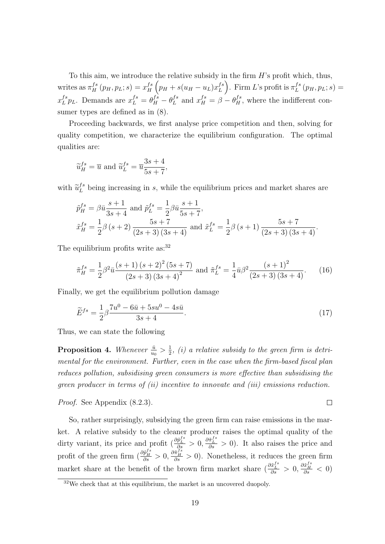To this aim, we introduce the relative subsidy in the firm  $H$ 's profit which, thus, writes as  $\pi_H^{fs}(p_H, p_L; s) = x_H^{fs}$  $\int_H^s (p_H + s(u_H - u_L)x_L^{fs})$  $L^{fs}$ ). Firm L's profit is  $\pi^{fs}_L$  $L^{fs}(p_H, p_L; s) =$  $x_L^{fs}$  $L^{fs} p_L$ . Demands are  $x_L^{fs} = \theta_H^{fs} - \theta_L^{fs}$  $L^{fs}$  and  $x_H^{fs} = \beta - \theta_H^{fs}$ , where the indifferent consumer types are defined as in (8).

Proceeding backwards, we first analyse price competition and then, solving for quality competition, we characterize the equilibrium configuration. The optimal qualities are:

$$
\widetilde{u}_{H}^{fs} = \overline{u} \text{ and } \widetilde{u}_{L}^{fs} = \overline{u} \frac{3s + 4}{5s + 7},
$$

with  $\tilde{u}_L^{fs}$  being increasing in s, while the equilibrium prices and market shares are

$$
\tilde{p}_{H}^{fs} = \beta \bar{u} \frac{s+1}{3s+4} \text{ and } \tilde{p}_{L}^{fs} = \frac{1}{2} \beta \bar{u} \frac{s+1}{5s+7},
$$
\n
$$
\tilde{x}_{H}^{fs} = \frac{1}{2} \beta \left( s+2 \right) \frac{5s+7}{\left( 2s+3 \right) \left( 3s+4 \right)} \text{ and } \tilde{x}_{L}^{fs} = \frac{1}{2} \beta \left( s+1 \right) \frac{5s+7}{\left( 2s+3 \right) \left( 3s+4 \right)}.
$$

The equilibrium profits write as:<sup>32</sup>

$$
\tilde{\pi}_{H}^{fs} = \frac{1}{2} \beta^2 \bar{u} \frac{(s+1)(s+2)^2 (5s+7)}{(2s+3) (3s+4)^2} \text{ and } \tilde{\pi}_{L}^{fs} = \frac{1}{4} \bar{u} \beta^2 \frac{(s+1)^2}{(2s+3) (3s+4)}.
$$
 (16)

Finally, we get the equilibrium pollution damage

$$
\widetilde{E}^{fs} = \frac{1}{2} \beta \frac{7u^0 - 6\bar{u} + 5su^0 - 4s\bar{u}}{3s + 4}.
$$
\n(17)

Thus, we can state the following

Proposition 4. Whenever  $\frac{\bar{u}}{u_0} > \frac{1}{2}$  $\frac{1}{2}$ , (i) a relative subsidy to the green firm is detrimental for the environment. Further, even in the case when the firm-based fiscal plan reduces pollution, subsidising green consumers is more effective than subsidising the green producer in terms of (ii) incentive to innovate and (iii) emissions reduction.

 $\Box$ 

Proof. See Appendix (8.2.3).

So, rather surprisingly, subsidying the green firm can raise emissions in the market. A relative subsidy to the cleaner producer raises the optimal quality of the dirty variant, its price and profit  $\left(\frac{\partial \tilde{p}_{L}^{fs}}{\partial s} > 0, \frac{\partial \tilde{p}_{L}^{fs}}{\partial s} > 0\right)$ . It also raises the price and profit of the green firm  $\left(\frac{\partial \tilde{p}_{B}^{fs}}{\partial s} > 0, \frac{\partial \tilde{p}_{B}^{fs}}{\partial s} > 0\right)$ . Nonetheless, it reduces the green firm market share at the benefit of the brown firm market share  $(\frac{\partial \tilde{x}_{L}^{fs}}{\partial s} > 0, \frac{\partial \tilde{x}_{R}^{fs}}{\partial s} < 0)$ 

<sup>32</sup>We check that at this equilibrium, the market is an uncovered duopoly.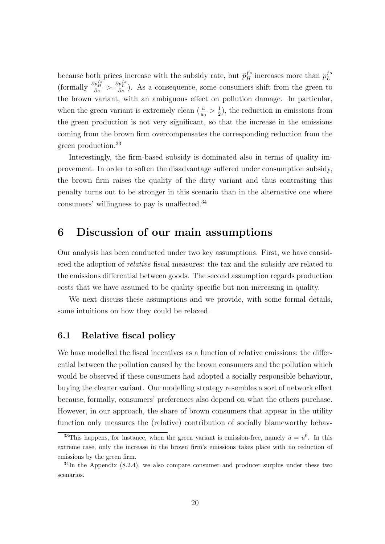because both prices increase with the subsidy rate, but  $\tilde{p}^{fs}_H$  increases more than  $p^{fs}_L$ L (formally  $\frac{\partial \tilde{p}_B^{fs}}{\partial s} > \frac{\partial \tilde{p}_L^{fs}}{\partial s}$ ). As a consequence, some consumers shift from the green to the brown variant, with an ambiguous effect on pollution damage. In particular, when the green variant is extremely clean  $(\frac{\bar{u}}{u_0} > \frac{1}{2})$  $(\frac{1}{2})$ , the reduction in emissions from the green production is not very significant, so that the increase in the emissions coming from the brown firm overcompensates the corresponding reduction from the green production.<sup>33</sup>

Interestingly, the firm-based subsidy is dominated also in terms of quality improvement. In order to soften the disadvantage suffered under consumption subsidy, the brown firm raises the quality of the dirty variant and thus contrasting this penalty turns out to be stronger in this scenario than in the alternative one where consumers' willingness to pay is unaffected.<sup>34</sup>

# 6 Discussion of our main assumptions

Our analysis has been conducted under two key assumptions. First, we have considered the adoption of relative fiscal measures: the tax and the subsidy are related to the emissions differential between goods. The second assumption regards production costs that we have assumed to be quality-specific but non-increasing in quality.

We next discuss these assumptions and we provide, with some formal details, some intuitions on how they could be relaxed.

## 6.1 Relative fiscal policy

We have modelled the fiscal incentives as a function of relative emissions: the differential between the pollution caused by the brown consumers and the pollution which would be observed if these consumers had adopted a socially responsible behaviour, buying the cleaner variant. Our modelling strategy resembles a sort of network effect because, formally, consumers' preferences also depend on what the others purchase. However, in our approach, the share of brown consumers that appear in the utility function only measures the (relative) contribution of socially blameworthy behav-

<sup>&</sup>lt;sup>33</sup>This happens, for instance, when the green variant is emission-free, namely  $\bar{u} = u^0$ . In this extreme case, only the increase in the brown firm's emissions takes place with no reduction of emissions by the green firm.

 $34$ In the Appendix  $(8.2.4)$ , we also compare consumer and producer surplus under these two scenarios.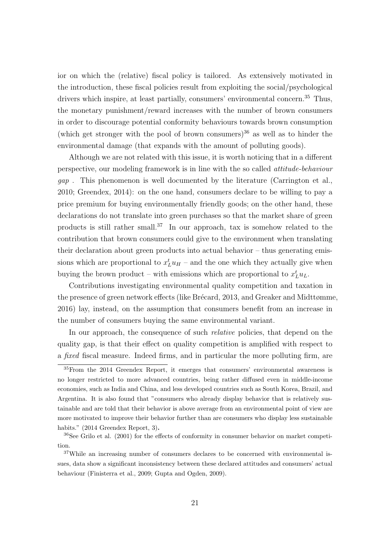ior on which the (relative) fiscal policy is tailored. As extensively motivated in the introduction, these fiscal policies result from exploiting the social/psychological drivers which inspire, at least partially, consumers' environmental concern.<sup>35</sup> Thus, the monetary punishment/reward increases with the number of brown consumers in order to discourage potential conformity behaviours towards brown consumption (which get stronger with the pool of brown consumers) $36$  as well as to hinder the environmental damage (that expands with the amount of polluting goods).

Although we are not related with this issue, it is worth noticing that in a different perspective, our modeling framework is in line with the so called attitude-behaviour gap . This phenomenon is well documented by the literature (Carrington et al., 2010; Greendex, 2014): on the one hand, consumers declare to be willing to pay a price premium for buying environmentally friendly goods; on the other hand, these declarations do not translate into green purchases so that the market share of green products is still rather small.<sup>37</sup> In our approach, tax is somehow related to the contribution that brown consumers could give to the environment when translating their declaration about green products into actual behavior – thus generating emissions which are proportional to  $x_L^t u_H$  – and the one which they actually give when buying the brown product – with emissions which are proportional to  $x_L^t u_L$ .

Contributions investigating environmental quality competition and taxation in the presence of green network effects (like Brécard, 2013, and Greaker and Midttømme, 2016) lay, instead, on the assumption that consumers benefit from an increase in the number of consumers buying the same environmental variant.

In our approach, the consequence of such *relative* policies, that depend on the quality gap, is that their effect on quality competition is amplified with respect to a fixed fiscal measure. Indeed firms, and in particular the more polluting firm, are

 $35$ From the 2014 Greendex Report, it emerges that consumers' environmental awareness is no longer restricted to more advanced countries, being rather diffused even in middle-income economies, such as India and China, and less developed countries such as South Korea, Brazil, and Argentina. It is also found that "consumers who already display behavior that is relatively sustainable and are told that their behavior is above average from an environmental point of view are more motivated to improve their behavior further than are consumers who display less sustainable habits." (2014 Greendex Report, 3).

<sup>36</sup>See Grilo et al. (2001) for the effects of conformity in consumer behavior on market competition.

<sup>&</sup>lt;sup>37</sup>While an increasing number of consumers declares to be concerned with environmental issues, data show a significant inconsistency between these declared attitudes and consumers' actual behaviour (Finisterra et al., 2009; Gupta and Ogden, 2009).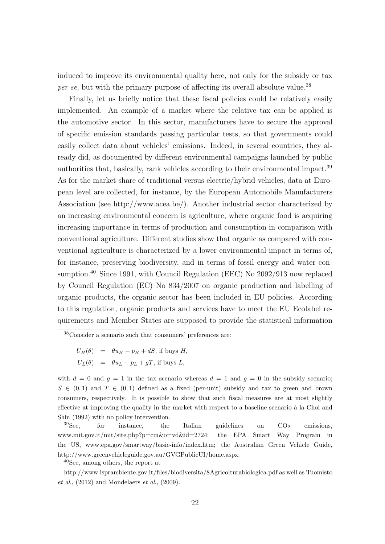induced to improve its environmental quality here, not only for the subsidy or tax per se, but with the primary purpose of affecting its overall absolute value.<sup>38</sup>

Finally, let us briefly notice that these fiscal policies could be relatively easily implemented. An example of a market where the relative tax can be applied is the automotive sector. In this sector, manufacturers have to secure the approval of specific emission standards passing particular tests, so that governments could easily collect data about vehicles' emissions. Indeed, in several countries, they already did, as documented by different environmental campaigns launched by public authorities that, basically, rank vehicles according to their environmental impact.<sup>39</sup> As for the market share of traditional versus electric/hybrid vehicles, data at European level are collected, for instance, by the European Automobile Manufacturers Association (see http://www.acea.be/). Another industrial sector characterized by an increasing environmental concern is agriculture, where organic food is acquiring increasing importance in terms of production and consumption in comparison with conventional agriculture. Different studies show that organic as compared with conventional agriculture is characterized by a lower environmental impact in terms of, for instance, preserving biodiversity, and in terms of fossil energy and water consumption.<sup>40</sup> Since 1991, with Council Regulation (EEC) No 2092/913 now replaced by Council Regulation (EC) No 834/2007 on organic production and labelling of organic products, the organic sector has been included in EU policies. According to this regulation, organic products and services have to meet the EU Ecolabel requirements and Member States are supposed to provide the statistical information

 $U_H(\theta) = \theta u_H - p_H + dS$ , if buys H,  $U_L(\theta) = \theta u_L - p_L + gT$ , if buys L,

with  $d = 0$  and  $g = 1$  in the tax scenario whereas  $d = 1$  and  $g = 0$  in the subsidy scenario;  $S \in (0,1)$  and  $T \in (0,1)$  defined as a fixed (per-unit) subsidy and tax to green and brown consumers, respectively. It is possible to show that such fiscal measures are at most slightly effective at improving the quality in the market with respect to a baseline scenario à la Choi and Shin (1992) with no policy intervention.

 $39$ See, for instance, the Italian guidelines on  $CO<sub>2</sub>$  emissions, www.mit.gov.it/mit/site.php?p=cm&o=vd&id=2724; the EPA Smart Way Program in the US, www.epa.gov/smartway/basic-info/index.htm; the Australian Green Vehicle Guide, http://www.greenvehicleguide.gov.au/GVGPublicUI/home.aspx.

<sup>40</sup>See, among others, the report at

http://www.isprambiente.gov.it/files/biodiversita/8Agricolturabiologica.pdf as well as Tuomisto  $et al., (2012)$  and Mondelaers  $et al., (2009).$ 

<sup>38</sup>Consider a scenario such that consumers' preferences are: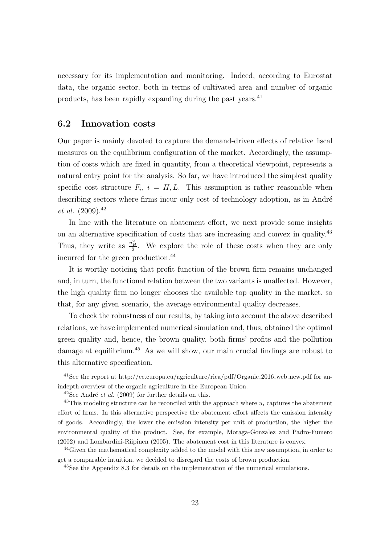necessary for its implementation and monitoring. Indeed, according to Eurostat data, the organic sector, both in terms of cultivated area and number of organic products, has been rapidly expanding during the past years.<sup>41</sup>

## 6.2 Innovation costs

Our paper is mainly devoted to capture the demand-driven effects of relative fiscal measures on the equilibrium configuration of the market. Accordingly, the assumption of costs which are fixed in quantity, from a theoretical viewpoint, represents a natural entry point for the analysis. So far, we have introduced the simplest quality specific cost structure  $F_i$ ,  $i = H, L$ . This assumption is rather reasonable when describing sectors where firms incur only cost of technology adoption, as in André et al.  $(2009).^{42}$ 

In line with the literature on abatement effort, we next provide some insights on an alternative specification of costs that are increasing and convex in quality.<sup>43</sup> Thus, they write as  $\frac{u_H^2}{2}$ . We explore the role of these costs when they are only incurred for the green production.<sup>44</sup>

It is worthy noticing that profit function of the brown firm remains unchanged and, in turn, the functional relation between the two variants is unaffected. However, the high quality firm no longer chooses the available top quality in the market, so that, for any given scenario, the average environmental quality decreases.

To check the robustness of our results, by taking into account the above described relations, we have implemented numerical simulation and, thus, obtained the optimal green quality and, hence, the brown quality, both firms' profits and the pollution damage at equilibrium.<sup>45</sup> As we will show, our main crucial findings are robust to this alternative specification.

<sup>&</sup>lt;sup>41</sup>See the report at http://ec.europa.eu/agriculture/rica/pdf/Organic\_2016\_web\_new.pdf for anindepth overview of the organic agriculture in the European Union.

 $42$ See André *et al.* (2009) for further details on this.

<sup>&</sup>lt;sup>43</sup>This modeling structure can be reconciled with the approach where  $u_i$  captures the abatement effort of firms. In this alternative perspective the abatement effort affects the emission intensity of goods. Accordingly, the lower the emission intensity per unit of production, the higher the environmental quality of the product. See, for example, Moraga-Gonzalez and Padro-Fumero (2002) and Lombardini-Riipinen (2005). The abatement cost in this literature is convex.

<sup>44</sup>Given the mathematical complexity added to the model with this new assumption, in order to get a comparable intuition, we decided to disregard the costs of brown production.

<sup>&</sup>lt;sup>45</sup>See the Appendix 8.3 for details on the implementation of the numerical simulations.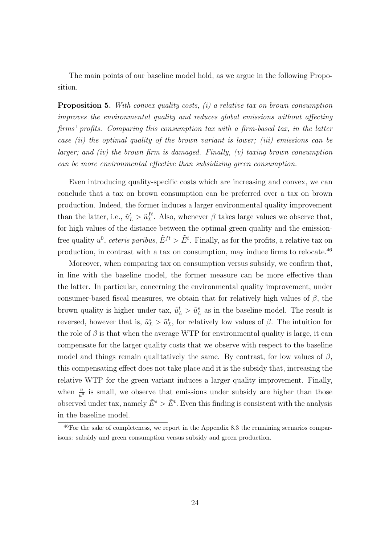The main points of our baseline model hold, as we argue in the following Proposition.

**Proposition 5.** With convex quality costs,  $(i)$  a relative tax on brown consumption improves the environmental quality and reduces global emissions without affecting firms' profits. Comparing this consumption tax with a firm-based tax, in the latter case  $(ii)$  the optimal quality of the brown variant is lower; (iii) emissions can be larger; and (iv) the brown firm is damaged. Finally,  $(v)$  taxing brown consumption can be more environmental effective than subsidizing green consumption.

Even introducing quality-specific costs which are increasing and convex, we can conclude that a tax on brown consumption can be preferred over a tax on brown production. Indeed, the former induces a larger environmental quality improvement than the latter, i.e.,  $\tilde{u}_L^t > \tilde{u}_L^{ft}$  $L^{t}$ . Also, whenever  $\beta$  takes large values we observe that, for high values of the distance between the optimal green quality and the emissionfree quality  $u^0$ , ceteris paribus,  $\tilde{E}^{ft} > \tilde{E}^t$ . Finally, as for the profits, a relative tax on production, in contrast with a tax on consumption, may induce firms to relocate. $^{46}$ 

Moreover, when comparing tax on consumption versus subsidy, we confirm that, in line with the baseline model, the former measure can be more effective than the latter. In particular, concerning the environmental quality improvement, under consumer-based fiscal measures, we obtain that for relatively high values of  $\beta$ , the brown quality is higher under tax,  $\tilde{u}_L^t > \tilde{u}_L^s$  as in the baseline model. The result is reversed, however that is,  $\tilde{u}_L^s > \tilde{u}_L^t$ , for relatively low values of  $\beta$ . The intuition for the role of  $\beta$  is that when the average WTP for environmental quality is large, it can compensate for the larger quality costs that we observe with respect to the baseline model and things remain qualitatively the same. By contrast, for low values of  $\beta$ , this compensating effect does not take place and it is the subsidy that, increasing the relative WTP for the green variant induces a larger quality improvement. Finally, when  $\frac{\bar{u}}{u^0}$  is small, we observe that emissions under subsidy are higher than those observed under tax, namely  $\tilde{E}^s > \tilde{E}^t$ . Even this finding is consistent with the analysis in the baseline model.

 $^{46}$ For the sake of completeness, we report in the Appendix 8.3 the remaining scenarios comparisons: subsidy and green consumption versus subsidy and green production.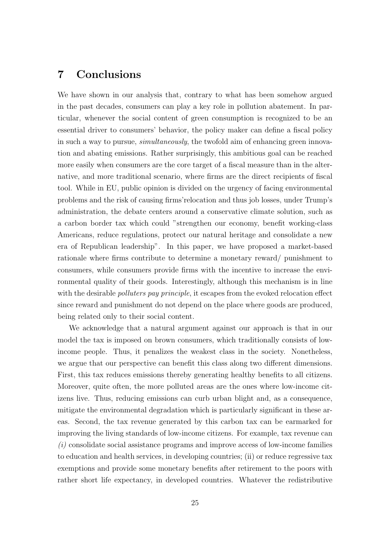# 7 Conclusions

We have shown in our analysis that, contrary to what has been somehow argued in the past decades, consumers can play a key role in pollution abatement. In particular, whenever the social content of green consumption is recognized to be an essential driver to consumers' behavior, the policy maker can define a fiscal policy in such a way to pursue, simultaneously, the twofold aim of enhancing green innovation and abating emissions. Rather surprisingly, this ambitious goal can be reached more easily when consumers are the core target of a fiscal measure than in the alternative, and more traditional scenario, where firms are the direct recipients of fiscal tool. While in EU, public opinion is divided on the urgency of facing environmental problems and the risk of causing firms'relocation and thus job losses, under Trump's administration, the debate centers around a conservative climate solution, such as a carbon border tax which could "strengthen our economy, benefit working-class Americans, reduce regulations, protect our natural heritage and consolidate a new era of Republican leadership". In this paper, we have proposed a market-based rationale where firms contribute to determine a monetary reward/ punishment to consumers, while consumers provide firms with the incentive to increase the environmental quality of their goods. Interestingly, although this mechanism is in line with the desirable *polluters pay principle*, it escapes from the evoked relocation effect since reward and punishment do not depend on the place where goods are produced, being related only to their social content.

We acknowledge that a natural argument against our approach is that in our model the tax is imposed on brown consumers, which traditionally consists of lowincome people. Thus, it penalizes the weakest class in the society. Nonetheless, we argue that our perspective can benefit this class along two different dimensions. First, this tax reduces emissions thereby generating healthy benefits to all citizens. Moreover, quite often, the more polluted areas are the ones where low-income citizens live. Thus, reducing emissions can curb urban blight and, as a consequence, mitigate the environmental degradation which is particularly significant in these areas. Second, the tax revenue generated by this carbon tax can be earmarked for improving the living standards of low-income citizens. For example, tax revenue can  $(i)$  consolidate social assistance programs and improve access of low-income families to education and health services, in developing countries; (ii) or reduce regressive tax exemptions and provide some monetary benefits after retirement to the poors with rather short life expectancy, in developed countries. Whatever the redistributive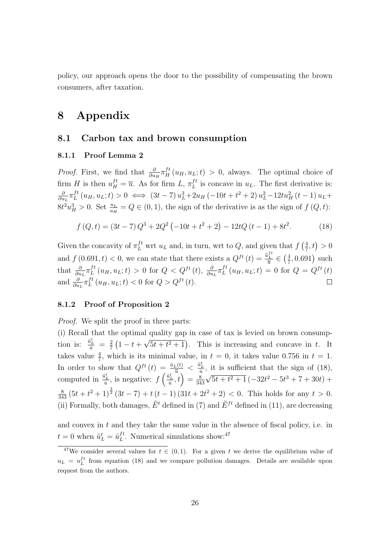policy, our approach opens the door to the possibility of compensating the brown consumers, after taxation.

# 8 Appendix

### 8.1 Carbon tax and brown consumption

#### 8.1.1 Proof Lemma 2

*Proof.* First, we find that  $\frac{\partial}{\partial u_H} \pi_H^{ft}(u_H, u_L; t) > 0$ , always. The optimal choice of firm H is then  $u_H^{ft} = \overline{u}$ . As for firm  $L, \pi_L^{ft}$  $L^{t}$  is concave in  $u_L$ . The first derivative is: ∂  $\frac{\partial}{\partial u_L} \pi_L^{ft}$  $L^{ft}(u_H, u_L; t) > 0 \iff (3t-7) u_L^3 + 2u_H (-10t + t^2 + 2) u_L^2 - 12tu_H^2 (t-1) u_L +$  $8t^2u_H^3 > 0$ . Set  $\frac{u_L}{u_H} = Q \in (0,1)$ , the sign of the derivative is as the sign of  $f(Q, t)$ :

$$
f(Q,t) = (3t - 7)Q^{3} + 2Q^{2}(-10t + t^{2} + 2) - 12tQ(t - 1) + 8t^{2}.
$$
 (18)

Given the concavity of  $\pi_L^{ft}$  wrt  $u_L$  and, in turn, wrt to  $Q$ , and given that  $f\left(\frac{4}{7}\right)$  $(\frac{4}{7}, t) > 0$ and  $f(0.691, t) < 0$ , we can state that there exists a  $Q^{ft}(t) = \frac{\tilde{u}_L^{ft}}{\tilde{u}} \in \left(\frac{4}{7}\right)$  $(\frac{4}{7}, 0.691)$  such that  $\frac{\partial}{\partial u_L} \pi_L^{ft}$  $L_t^{ft}(u_H, u_L; t) > 0$  for  $Q < Q^{ft}(t), \frac{\partial}{\partial u_L} \pi_L^{ft}$  $L^{ft}(u_H, u_L; t) = 0$  for  $Q = Q^{ft}(t)$ and  $\frac{\partial}{\partial u_L} \pi_L^{ft}$  $L^{ft}(u_H, u_L; t) < 0$  for  $Q > Q^{ft}(t)$ .  $\Box$ 

### 8.1.2 Proof of Proposition 2

Proof. We split the proof in three parts:

(i) Recall that the optimal quality gap in case of tax is levied on brown consumption is:  $\frac{\tilde{u}_L^t}{\bar{u}} = \frac{2}{7}$  $rac{2}{7}(1-t+$ √  $5t + t^2 + 1$ . This is increasing and concave in t. It takes value  $\frac{4}{7}$ , which is its minimal value, in  $t = 0$ , it takes value 0.756 in  $t = 1$ . 7 In order to show that  $Q^{ft}(t) = \frac{\tilde{u}_L(t)}{\overline{u}} < \frac{\tilde{u}_L^t}{\overline{u}}$ , it is sufficient that the sign of (18), computed in  $\frac{\tilde{u}_L^t}{\bar{u}}$ , is negative:  $f\left(\frac{\tilde{u}_L^t}{\bar{u}},t\right) = \frac{8}{34}$ 343  $^{\prime}$  ,  $\overline{5t + t^2 + 1}$   $\left(-32t^2 - 5t^3 + 7 + 30t\right)$  +  $\frac{8}{343}(5t+t^2+1)^{\frac{3}{2}}(3t-7)+t(t-1)(31t+2t^2+2)<0.$  This holds for any  $t>0.$ (ii) Formally, both damages,  $\tilde{E}^t$  defined in (7) and  $\tilde{E}^{ft}$  defined in (11), are decreasing

and convex in  $t$  and they take the same value in the absence of fiscal policy, i.e. in  $t = 0$  when  $\tilde{u}_L^t = \tilde{u}_L^{ft}$  $L^{ft}$ . Numerical simulations show:<sup>47</sup>

 $\overline{A^4}$ We consider several values for  $t \in (0,1)$ . For a given t we derive the equilibrium value of  $u_L = u_L^{ft}$  from equation (18) and we compare pollution damages. Details are available upon request from the authors.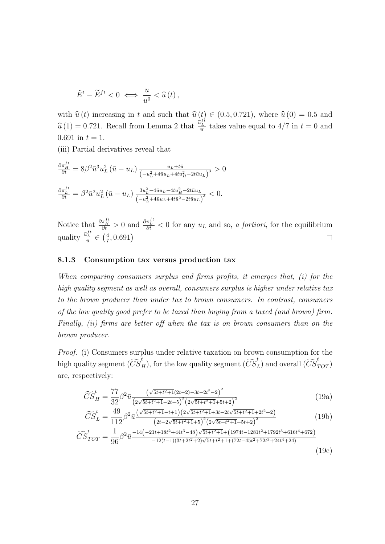$$
\tilde{E}^t - \tilde{E}^{ft} < 0 \iff \frac{\overline{u}}{u^0} < \hat{u}(t) \, ,
$$

with  $\hat{u}(t)$  increasing in t and such that  $\hat{u}(t) \in (0.5, 0.721)$ , where  $\hat{u}(0) = 0.5$  and  $\hat{u}(1) = 0.721$ . Recall from Lemma 2 that  $\frac{\tilde{u}_L^{ft}}{\bar{u}}$  takes value equal to 4/7 in  $t = 0$  and 0.691 in  $t = 1$ .

(iii) Partial derivatives reveal that

$$
\frac{\partial \pi_L^{ft}}{\partial t} = 8\beta^2 \bar{u}^3 u_L^2 (\bar{u} - u_L) \frac{u_L + t\bar{u}}{\left(-u_L^2 + 4\bar{u}u_L + 4tu_H^2 - 2t\bar{u}u_L\right)^3} > 0
$$
  

$$
\frac{\partial \pi_L^{ft}}{\partial t} = \beta^2 \bar{u}^2 u_L^2 (\bar{u} - u_L) \frac{3u_L^2 - 4\bar{u}u_L - 4tu_H^2 + 2t\bar{u}u_L}{\left(-u_L^2 + 4\bar{u}u_L + 4t\bar{u}^2 - 2t\bar{u}u_L\right)^3} < 0.
$$

Notice that  $\frac{\partial \pi_L^{ft}}{\partial t} > 0$  and  $\frac{\partial \pi_L^{ft}}{\partial t} < 0$  for any  $u_L$  and so, a fortiori, for the equilibrium quality  $\frac{\tilde{u}_L^{ft}}{\bar{u}} \in \left(\frac{4}{7}\right)$  $\frac{4}{7}, 0.691$ )  $\Box$ 

#### 8.1.3 Consumption tax versus production tax

When comparing consumers surplus and firms profits, it emerges that, (i) for the high quality segment as well as overall, consumers surplus is higher under relative tax to the brown producer than under tax to brown consumers. In contrast, consumers of the low quality good prefer to be taxed than buying from a taxed (and brown) firm. Finally, *(ii)* firms are better off when the tax is on brown consumers than on the brown producer.

Proof. (i) Consumers surplus under relative taxation on brown consumption for the high quality segment  $(\widetilde{CS}_H^t)$ , for the low quality segment  $(\widetilde{CS}_L^t)$  and overall  $(\widetilde{CS}_{TOT}^t)$ are, respectively:

$$
\widetilde{CS}_H^t = \frac{77}{32} \beta^2 \bar{u} \frac{\left(\sqrt{5t + t^2 + 1}(2t - 2) - 3t - 2t^2 - 2\right)^2}{\left(2\sqrt{5t + t^2 + 1} - 2t - 5\right)^2 \left(2\sqrt{5t + t^2 + 1} + 5t + 2\right)^2}
$$
\n(19a)

$$
\widetilde{CS}_{L}^{t} = \frac{49}{112} \beta^{2} \overline{u} \frac{(\sqrt{5t+t^{2}+1}-t+1)(2\sqrt{5t+t^{2}+1}+3t-2t\sqrt{5t+t^{2}+1}+2t^{2}+2)}{(2t-2\sqrt{5t+t^{2}+1}+5)^{2}(2\sqrt{5t+t^{2}+1}+5t+2)^{2}}
$$
\n
$$
\widetilde{CS}_{L}^{t} = \frac{1}{12} \beta^{2} \overline{u} \left( \frac{2t-2t+18t^{2}+44t^{3}-48}{2t+5t+2} \right) \sqrt{5t+t^{2}+1} + \left( \frac{19t}{1974t-1281t^{2}+1792t^{3}+616t^{4}+672} \right)}{(19b)}
$$

$$
\widetilde{CS}_{TOT}^t = \frac{1}{96} \beta^2 \bar{u} \frac{-14(-21t+18t^2+44t^3-48)\sqrt{5t+t^2+1} + (1974t-1281t^2+1792t^3+616t^4+672)}}{-12(t-1)(3t+2t^2+2)\sqrt{5t+t^2+1} + (72t-45t^2+72t^3+24t^4+24)}
$$
\n(19c)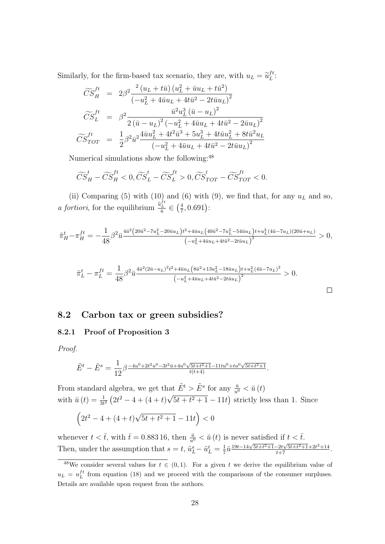Similarly, for the firm-based tax scenario, they are, with  $u_L = \tilde{u}_L^{ft}$  $L^{jt}\colon$ 

$$
\widetilde{CS}_{H}^{ft} = 2\beta^{2} \frac{^{2}(u_{L} + t\bar{u}) (u_{L}^{2} + \bar{u}u_{L} + t\bar{u}^{2})}{(-u_{L}^{2} + 4\bar{u}u_{L} + 4t\bar{u}^{2} - 2t\bar{u}u_{L})^{2}}
$$
\n
$$
\widetilde{CS}_{L}^{ft} = \beta^{2} \frac{\bar{u}^{2}u_{L}^{3}(\bar{u} - u_{L})^{2}}{2(\bar{u} - u_{L})^{2}(-u_{L}^{2} + 4\bar{u}u_{L} + 4t\bar{u}^{2} - 2\bar{u}u_{L})^{2}}
$$
\n
$$
\widetilde{CS}_{TOT}^{ft} = \frac{1}{2}\beta^{2}\bar{u}^{2}\frac{4\bar{u}u_{L}^{2} + 4t^{2}\bar{u}^{3} + 5u_{L}^{3} + 4t\bar{u}u_{L}^{2} + 8t\bar{u}^{2}u_{L}}{(-u_{L}^{2} + 4\bar{u}u_{L} + 4t\bar{u}^{2} - 2t\bar{u}u_{L})^{2}}
$$

Numerical simulations show the following:<sup>48</sup>

$$
\widetilde{CS}^t_{H} - \widetilde{CS}^{ft}_{H} < 0, \widetilde{CS}^t_{L} - \widetilde{CS}^{ft}_{L} > 0, \widetilde{CS}^t_{TOT} - \widetilde{CS}^{ft}_{TOT} < 0.
$$

(ii) Comparing (5) with (10) and (6) with (9), we find that, for any  $u<sub>L</sub>$  and so, *a fortiori*, for the equilibrium  $\frac{\tilde{u}_L^{ft}}{\tilde{u}} \in \left(\frac{4}{7}\right)$  $\frac{4}{7}, 0.691$ ):

$$
\tilde{\pi}_H^t - \pi_H^{ft} = -\frac{1}{48} \beta^2 \bar{u} \frac{4\bar{u}^2 (20\bar{u}^2 - 7u_L^2 - 20\bar{u}u_L)t^2 + 4\bar{u}u_L (40\bar{u}^2 - 7u_L^2 - 54\bar{u}u_L)t + u_L^2 (4\bar{u} - 7u_L)(20\bar{u} + u_L)}{\left(-u_L^2 + 4\bar{u}u_L + 4t\bar{u}^2 - 2t\bar{u}u_L\right)^2} > 0,
$$

$$
\tilde{\pi}_L^t - \pi_L^{ft} = \frac{1}{48} \beta^2 \bar{u} \frac{4\bar{u}^2 (2\bar{u} - u_L)^2 t^2 + 4\bar{u} u_L (8\bar{u}^2 + 13u_L^2 - 18\bar{u} u_L) t + u_L^2 (4\bar{u} - 7u_L)^2}{{\left(-u_L^2 + 4\bar{u} u_L + 4t\bar{u}^2 - 2t\bar{u} u_L\right)}^2} > 0.
$$

### 8.2 Carbon tax or green subsidies?

#### 8.2.1 Proof of Proposition 3

Proof.

$$
\tilde{E}^t - \tilde{E}^s = \frac{1}{12} \beta \frac{-4u^0 + 2t^2 u^0 - 3t^2 \bar{u} + 4u^0 \sqrt{5t + t^2 + 1} - 11t u^0 + tu^0 \sqrt{5t + t^2 + 1}}{t(t+4)}.
$$

From standard algebra, we get that  $\tilde{E}^t > \tilde{E}^s$  for any  $\frac{\bar{u}}{u^0} < \breve{u}(t)$ with  $\breve{u}(t) = \frac{1}{3t^2} (2t^2 - 4 + (4 + t))$ √  $5t + t^2 + 1 - 11t$  strictly less than 1. Since

$$
(2t^2 - 4 + (4+t)\sqrt{5t + t^2 + 1} - 11t) < 0
$$

whenever  $t < \bar{t}$ , with  $\bar{t} = 0.883 \, 16$ , then  $\frac{\bar{u}}{u^0} < \breve{u}(t)$  is never satisfied if  $t < \bar{t}$ . Then, under the assumption that  $s = t$ ,  $\tilde{u}_L^s - \tilde{u}_L^t = \frac{1}{7}$  $\frac{1}{7}\overline{u} \frac{19t-14\sqrt{5t+t^2+1}-2t\sqrt{5t+t^2+1}+2t^2+14}{t+7}.$ 

<sup>&</sup>lt;sup>48</sup>We consider several values for  $t \in (0,1)$ . For a given t we derive the equilibrium value of  $u_L = u_L^{ft}$  from equation (18) and we proceed with the comparisons of the consumer surpluses. Details are available upon request from the authors.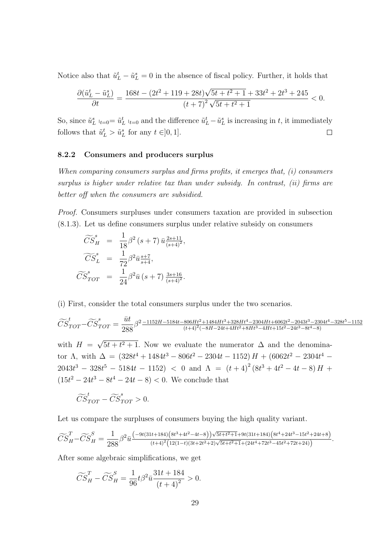Notice also that  $\tilde{u}_L^t - \tilde{u}_L^s = 0$  in the absence of fiscal policy. Further, it holds that

$$
\frac{\partial (\tilde u_L^t - \tilde u_L^s)}{\partial t} = \frac{168t - (2t^2 + 119 + 28t)\sqrt{5t + t^2 + 1} + 33t^2 + 2t^3 + 245}{(t+7)^2\sqrt{5t + t^2 + 1}} < 0.
$$

So, since  $\tilde{u}_L^s|_{t=0} = \tilde{u}_L^t|_{t=0}$  and the difference  $\tilde{u}_L^t - \tilde{u}_L^s$  is increasing in t, it immediately follows that  $\tilde{u}_L^t > \tilde{u}_L^s$  for any  $t \in ]0,1]$ .  $\Box$ 

#### 8.2.2 Consumers and producers surplus

When comparing consumers surplus and firms profits, it emerges that, (i) consumers surplus is higher under relative tax than under subsidy. In contrast, *(ii)* firms are better off when the consumers are subsidied.

Proof. Consumers surpluses under consumers taxation are provided in subsection (8.1.3). Let us define consumers surplus under relative subsidy on consumers

$$
\widetilde{CS}_{H}^{s} = \frac{1}{18} \beta^{2} (s+7) \bar{u} \frac{2s+11}{(s+4)^{2}},
$$
  

$$
\widetilde{CS}_{L}^{s} = \frac{1}{72} \beta^{2} \bar{u} \frac{s+7}{s+4},
$$
  

$$
\widetilde{CS}_{TOT}^{s} = \frac{1}{24} \beta^{2} \bar{u} (s+7) \frac{3s+16}{(s+4)^{2}}.
$$

(i) First, consider the total consumers surplus under the two scenarios.

$$
\widetilde{CS}^t_{TOT} - \widetilde{CS}^s_{TOT} = \frac{\bar{u}t}{288}\beta^2 \frac{-1152H - 5184t - 806Ht^2 + 1484Ht^3 + 328Ht^4 - 2304Ht + 6062t^2 - 2043t^3 - 2304t^4 - 328t^5 - 1152t^2 + 1152t^2 - 1152t^3 - 1152t^2 - 1152t^2 - 1152t^3 - 1152t^2 - 1152t^2 - 1152t^2 - 1152t^3 - 1152t^2 - 1152t^2 - 1152t^2 - 1152t^2 - 1152t^2 - 1152t^2 - 1152t^2 - 1152t^2 - 1152t^2 - 1152t^2 - 1152t^2 - 1152t^2 - 1152t^2 - 1152t^2 - 1152t^2 - 1152t^2 - 1152t^2 - 1152t^2 - 1152t^2 - 1152t^2 - 1152t^2 - 1152t^2 - 1152t^2 - 1152t^2 - 1152t^2 - 1152t^2 - 1152t^2 - 1152t^2 - 1152t^2 - 1152t^2 - 1152t^2 - 1152t^2 - 1152t^2 - 1152t^2 - 1152t^2 - 1152t^2 - 1152t^2 - 1152t^2 - 1152t^2 - 1152t^2 - 1152t^2 - 1152t^2 - 1152t^2 - 1152t^2 - 1152t^2 - 1152t^2 - 1152t^2 - 1152t^2 - 1152t^2 - 1152t^2 - 1152t^2 - 1152t^2 - 1152t^2 - 1152t^2 - 1152t^2 - 1152t^2 - 1152t^2 - 1152t^2 - 1152t^2 - 1152t^2 -
$$

with  $H =$ √  $5t + t^2 + 1$ . Now we evaluate the numerator  $\Delta$  and the denominator  $\Lambda$ , with  $\Delta = (328t^4 + 1484t^3 - 806t^2 - 2304t - 1152)H + (6062t^2 - 2304t^4 2043t^3 - 328t^5 - 5184t - 1152$  < 0 and  $\Lambda = (t+4)^2(8t^3 + 4t^2 - 4t - 8)H +$  $(15t^2 - 24t^3 - 8t^4 - 24t - 8) < 0$ . We conclude that

$$
\widetilde{CS}_{TOT}^t - \widetilde{CS}_{TOT}^s > 0.
$$

Let us compare the surpluses of consumers buying the high quality variant.

$$
\widetilde{CS}_H^T - \widetilde{CS}_H^S = \frac{1}{288} \beta^2 \bar{u} \frac{(-9t(31t+184)(8t^3+4t^2-4t-8))\sqrt{5t+t^2+1}+9t(31t+184)(8t^4+24t^3-15t^2+24t+8)}{(t+4)^2(12(1-t)(3t+2t^2+2)\sqrt{5t+t^2+1}+(24t^4+72t^3-45t^2+72t+24))}.
$$

After some algebraic simplifications, we get

$$
\widetilde{CS}_H^T - \widetilde{CS}_H^S = \frac{1}{96}t\beta^2 \bar{u}\frac{31t + 184}{(t+4)^2} > 0.
$$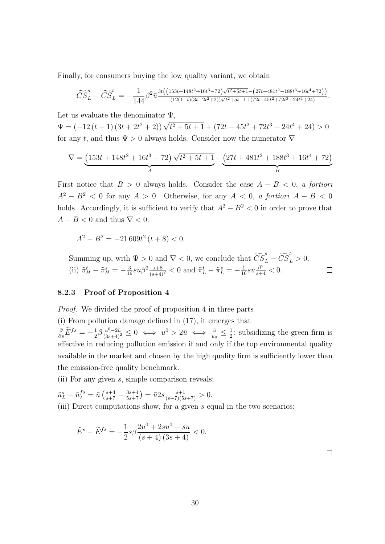Finally, for consumers buying the low quality variant, we obtain

$$
\widetilde{CS}_L^s - \widetilde{CS}_L^t = -\frac{1}{144} \beta^2 \bar{u} \frac{3t\left( \left(153t + 148t^2 + 16t^3 - 72\right) \sqrt{t^2 + 5t + 1} - \left(27t + 481t^2 + 188t^3 + 16t^4 + 72\right)\right)}{\left(12(1-t)(3t + 2t^2 + 2)\right) \sqrt{t^2 + 5t + 1} + \left(72t - 45t^2 + 72t^3 + 24t^4 + 24\right)}.
$$

Let us evaluate the denominator  $\Psi$ ,

 $\Psi = (-12(t-1)(3t+2t^2+2))\sqrt{t^2+5t+1} + (72t-45t^2+72t^3+24t^4+24) > 0$ for any t, and thus  $\Psi > 0$  always holds. Consider now the numerator  $\nabla$ 

$$
\nabla = \underbrace{(153t + 148t^2 + 16t^3 - 72) \sqrt{t^2 + 5t + 1}}_{A} - \underbrace{(27t + 481t^2 + 188t^3 + 16t^4 + 72)}_{B}
$$

First notice that  $B > 0$  always holds. Consider the case  $A - B < 0$ , a fortiori  $A^{2} - B^{2} < 0$  for any  $A > 0$ . Otherwise, for any  $A < 0$ , a fortiori  $A - B < 0$ holds. Accordingly, it is sufficient to verify that  $A^2 - B^2 < 0$  in order to prove that  $A - B < 0$  and thus  $\nabla < 0$ .

 $A^2 - B^2 = -21\,609t^2\,(t+8) < 0.$ 

Summing up, with  $\Psi > 0$  and  $\nabla < 0$ , we conclude that  $\widetilde{CS}_L^s - \widetilde{CS}_L^t > 0$ . (ii)  $\tilde{\pi}_H^t - \tilde{\pi}_H^s = -\frac{3}{16} s \bar{u} \beta^2 \frac{s+8}{(s+4)^2} < 0$  and  $\tilde{\pi}_L^t - \tilde{\pi}_L^s = -\frac{1}{16} s \bar{u} \frac{\beta^2}{s+4} < 0$ .  $\Box$ 

#### 8.2.3 Proof of Proposition 4

Proof. We divided the proof of proposition 4 in three parts

(i) From pollution damage defined in (17), it emerges that  $\frac{\partial}{\partial s}\tilde{E}^{fs}=-\frac{1}{2}$  $\frac{1}{2}\beta \frac{u^0 - 2\bar{u}}{(3s+4)^2} \leq 0 \iff u^0 > 2\bar{u} \iff \frac{\bar{u}}{u_0} \leq \frac{1}{2}$  $\frac{1}{2}$ : subsidizing the green firm is effective in reducing pollution emission if and only if the top environmental quality available in the market and chosen by the high quality firm is sufficiently lower than the emission-free quality benchmark.

(ii) For any given s, simple comparison reveals:

$$
\tilde{u}_L^s - \tilde{u}_L^{fs} = \bar{u}\left(\frac{s+4}{s+7} - \frac{3s+4}{5s+7}\right) = \bar{u}2s \frac{s+1}{(s+7)(5s+7)} > 0.
$$

(iii) Direct computations show, for a given s equal in the two scenarios:

$$
\tilde{E}^s - \tilde{E}^{fs} = -\frac{1}{2}s\beta \frac{2u^0 + 2su^0 - s\overline{u}}{(s+4)(3s+4)} < 0.
$$

 $\Box$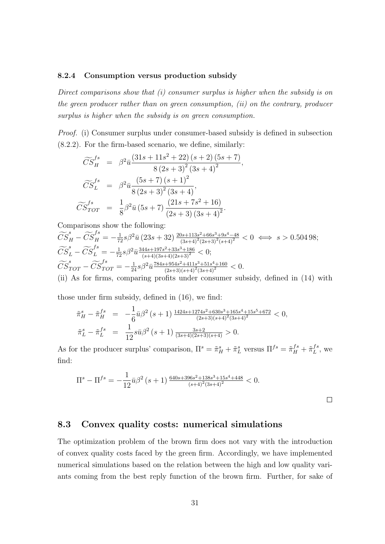#### 8.2.4 Consumption versus production subsidy

Direct comparisons show that (i) consumer surplus is higher when the subsidy is on the green producer rather than on green consumption, (ii) on the contrary, producer surplus is higher when the subsidy is on green consumption.

Proof. (i) Consumer surplus under consumer-based subsidy is defined in subsection (8.2.2). For the firm-based scenario, we define, similarly:

$$
\widetilde{CS}_{H}^{fs} = \beta^{2} \bar{u} \frac{(31s + 11s^{2} + 22) (s + 2) (5s + 7)}{8 (2s + 3)^{2} (3s + 4)^{2}},
$$
\n
$$
\widetilde{CS}_{L}^{fs} = \beta^{2} \bar{u} \frac{(5s + 7) (s + 1)^{2}}{8 (2s + 3)^{2} (3s + 4)},
$$
\n
$$
\widetilde{CS}_{TOT}^{fs} = \frac{1}{8} \beta^{2} \bar{u} (5s + 7) \frac{(21s + 7s^{2} + 16)}{(2s + 3) (3s + 4)^{2}}.
$$

Comparisons show the following:

$$
\widetilde{CS}_{H}^{s} - \widetilde{CS}_{H}^{fs} = -\frac{1}{72}s\beta^{2}\bar{u}\left(23s + 32\right)\frac{20s + 113s^{2} + 66s^{3} + 9s^{4} - 48}{(3s + 4)^{2}(2s + 3)^{2}(s + 4)^{2}} < 0 \iff s > 0.504\,98;
$$
\n
$$
\widetilde{CS}_{L}^{s} - \widetilde{CS}_{L}^{fs} = -\frac{1}{72}s\beta^{2}\bar{u}\frac{344s + 197s^{2} + 33s^{3} + 186}{(s + 4)(3s + 4)(2s + 3)^{2}} < 0;
$$
\n
$$
\widetilde{CS}_{TOT}^{s} - \widetilde{CS}_{TOT}^{fs} = -\frac{1}{24}s\beta^{2}\bar{u}\frac{784s + 954s^{2} + 411s^{3} + 51s^{4} + 160}{(2s + 3)(s + 4)^{2}(3s + 4)^{2}} < 0.
$$
\n(ii) As for firms, comparing profits under consumer subsidy, defined in (14) with

those under firm subsidy, defined in (16), we find:

$$
\begin{aligned}\n\tilde{\pi}_H^s - \tilde{\pi}_H^{fs} &= -\frac{1}{6}\bar{u}\beta^2 \left(s+1\right) \frac{1424s+1274s^2+630s^3+165s^4+15s^5+672}{(2s+3)(s+4)^2(3s+4)^2} < 0, \\
\tilde{\pi}_L^s - \tilde{\pi}_L^{fs} &= \frac{1}{12}s\bar{u}\beta^2 \left(s+1\right) \frac{3s+2}{(3s+4)(2s+3)(s+4)} > 0.\n\end{aligned}
$$

As for the producer surplus' comparison,  $\Pi^s = \tilde{\pi}_H^s + \tilde{\pi}_L^s$  versus  $\Pi^{fs} = \tilde{\pi}_H^{fs} + \tilde{\pi}_L^{fs}$  $L^{fs}$ , we find:

$$
\Pi^{s} - \Pi^{fs} = -\frac{1}{12} \bar{u} \beta^{2} \left( s + 1 \right) \frac{640s + 396s^{2} + 138s^{3} + 15s^{4} + 448}{(s+4)^{2}(3s+4)^{2}} < 0.
$$

## 8.3 Convex quality costs: numerical simulations

The optimization problem of the brown firm does not vary with the introduction of convex quality costs faced by the green firm. Accordingly, we have implemented numerical simulations based on the relation between the high and low quality variants coming from the best reply function of the brown firm. Further, for sake of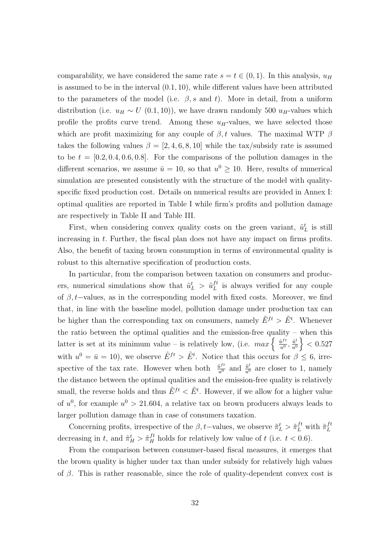comparability, we have considered the same rate  $s = t \in (0, 1)$ . In this analysis,  $u_H$ is assumed to be in the interval (0.1, 10), while different values have been attributed to the parameters of the model (i.e.  $\beta$ , s and t). More in detail, from a uniform distribution (i.e.  $u_H \sim U(0.1, 10)$ ), we have drawn randomly 500  $u_H$ -values which profile the profits curve trend. Among these  $u_H$ -values, we have selected those which are profit maximizing for any couple of  $\beta$ , t values. The maximal WTP  $\beta$ takes the following values  $\beta = [2, 4, 6, 8, 10]$  while the tax/subsidy rate is assumed to be  $t = [0.2, 0.4, 0.6, 0.8]$ . For the comparisons of the pollution damages in the different scenarios, we assume  $\bar{u} = 10$ , so that  $u^0 \ge 10$ . Here, results of numerical simulation are presented consistently with the structure of the model with qualityspecific fixed production cost. Details on numerical results are provided in Annex I: optimal qualities are reported in Table I while firm's profits and pollution damage are respectively in Table II and Table III.

First, when considering convex quality costs on the green variant,  $\tilde{u}_L^t$  is still increasing in t. Further, the fiscal plan does not have any impact on firms profits. Also, the benefit of taxing brown consumption in terms of environmental quality is robust to this alternative specification of production costs.

In particular, from the comparison between taxation on consumers and producers, numerical simulations show that  $\tilde{u}_L^t > \tilde{u}_L^{ft}$  $L<sup>t</sup>$  is always verified for any couple of  $\beta$ , t–values, as in the corresponding model with fixed costs. Moreover, we find that, in line with the baseline model, pollution damage under production tax can be higher than the corresponding tax on consumers, namely  $\tilde{E}^{ft} > \tilde{E}^t$ . Whenever the ratio between the optimal qualities and the emission-free quality – when this latter is set at its minimum value – is relatively low, (i.e.  $max\left\{\frac{\tilde{u}^{ft}}{n^0}\right\}$  $\frac{\tilde{u}^{ft}}{u^0}, \frac{\tilde{u}^t}{u^0}$  $\left\{\fractilde{u}^t}{u^0}\right\} < 0.527$ with  $u^0 = \bar{u} = 10$ , we observe  $\tilde{E}^{ft} > \tilde{E}^t$ . Notice that this occurs for  $\beta \leq 6$ , irrespective of the tax rate. However when both  $\frac{\tilde{u}^{ft}}{u^0}$  and  $\frac{\tilde{u}^t}{u^0}$  are closer to 1, namely the distance between the optimal qualities and the emission-free quality is relatively small, the reverse holds and thus  $\tilde{E}^{ft} < \tilde{E}^t$ . However, if we allow for a higher value of  $u^0$ , for example  $u^0 > 21.604$ , a relative tax on brown producers always leads to larger pollution damage than in case of consumers taxation.

Concerning profits, irrespective of the  $\beta$ , t–values, we observe  $\tilde{\pi}_L^t > \tilde{\pi}_L^{ft}$  with  $\tilde{\pi}_L^{ft}$ L decreasing in t, and  $\tilde{\pi}^t_H > \tilde{\pi}^{ft}_H$  holds for relatively low value of t (i.e.  $t < 0.6$ ).

From the comparison between consumer-based fiscal measures, it emerges that the brown quality is higher under tax than under subsidy for relatively high values of  $\beta$ . This is rather reasonable, since the role of quality-dependent convex cost is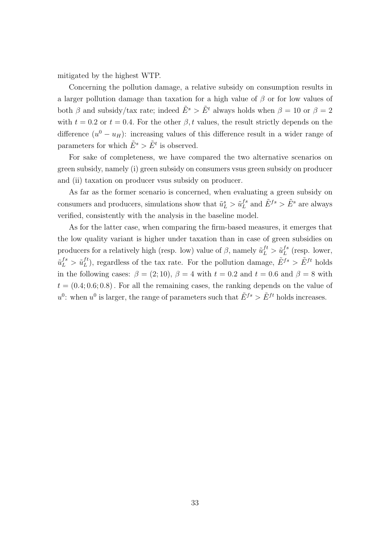mitigated by the highest WTP.

Concerning the pollution damage, a relative subsidy on consumption results in a larger pollution damage than taxation for a high value of  $\beta$  or for low values of both  $\beta$  and subsidy/tax rate; indeed  $\tilde{E}^s > \tilde{E}^t$  always holds when  $\beta = 10$  or  $\beta = 2$ with  $t = 0.2$  or  $t = 0.4$ . For the other  $\beta$ , t values, the result strictly depends on the difference  $(u^0 - u_H)$ : increasing values of this difference result in a wider range of parameters for which  $\tilde{E}^s > \tilde{E}^t$  is observed.

For sake of completeness, we have compared the two alternative scenarios on green subsidy, namely (i) green subsidy on consumers vsus green subsidy on producer and (ii) taxation on producer vsus subsidy on producer.

As far as the former scenario is concerned, when evaluating a green subsidy on consumers and producers, simulations show that  $\tilde{u}_L^s > \tilde{u}_L^{fs}$  $L^{fs}$  and  $\tilde{E}^{fs} > \tilde{E}^s$  are always verified, consistently with the analysis in the baseline model.

As for the latter case, when comparing the firm-based measures, it emerges that the low quality variant is higher under taxation than in case of green subsidies on producers for a relatively high (resp. low) value of  $\beta$ , namely  $\tilde{u}_L^{ft} > \tilde{u}_L^{fs}$  $L^{fs}$  (resp. lower,  $\tilde u_L^{fs} > \tilde u_L^{ft}$  $L_L^{ft}$ ), regardless of the tax rate. For the pollution damage,  $\tilde{E}^{fs} > \tilde{E}^{ft}$  holds in the following cases:  $\beta = (2, 10)$ ,  $\beta = 4$  with  $t = 0.2$  and  $t = 0.6$  and  $\beta = 8$  with  $t = (0.4; 0.6; 0.8)$ . For all the remaining cases, the ranking depends on the value of  $u^0$ : when  $u^0$  is larger, the range of parameters such that  $\tilde{E}^{fs} > \tilde{E}^{ft}$  holds increases.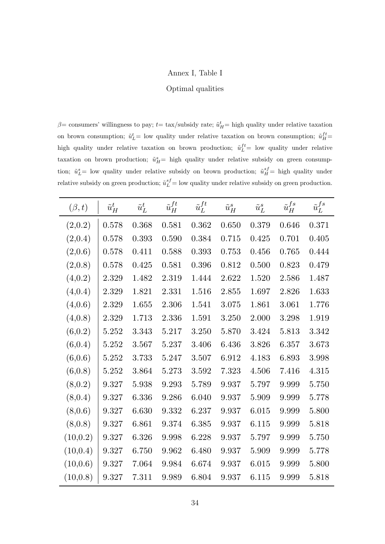### Annex I, Table I

#### Optimal qualities

 $\beta$ = consumers' willingness to pay;  $t=$  tax/subsidy rate;  $\tilde{u}^t_H$ = high quality under relative taxation on brown consumption;  $\tilde{u}_L^t$  = low quality under relative taxation on brown consumption;  $\tilde{u}_H^{ft}$  = high quality under relative taxation on brown production;  $\tilde{u}_L^{ft}$  = low quality under relative taxation on brown production;  $\tilde{u}_{H}^{s}$  high quality under relative subsidy on green consumption;  $\tilde{u}_L^s$  = low quality under relative subsidy on brown production;  $\tilde{u}_H^{sf}$  = high quality under relative subsidy on green production;  $\tilde{u}_L^{sf} =$  low quality under relative subsidy on green production.

| $(\beta,t)$ | $\tilde{u}_H^t$ | $\tilde{u}_L^t$ | $\tilde u_H^{ft}$ | $\tilde u_L^{ft}$ | $\tilde{u}_H^s$      | $\tilde u_L^s$ | $\tilde{u}_H^{fs}$ | $\tilde{u}_L^{fs}$ |
|-------------|-----------------|-----------------|-------------------|-------------------|----------------------|----------------|--------------------|--------------------|
| (2,0.2)     | 0.578           | 0.368           | 0.581             | 0.362             | 0.650                | 0.379          | 0.646              | 0.371              |
| (2,0.4)     | 0.578           | 0.393           | 0.590             | 0.384             | 0.715                | 0.425          | 0.701              | 0.405              |
| (2,0.6)     | 0.578           | 0.411           | 0.588             | 0.393             | 0.753                | 0.456          | 0.765              | 0.444              |
| (2,0.8)     | 0.578           | 0.425           | 0.581             | 0.396             | $0.812\,$            | 0.500          | 0.823              | 0.479              |
| (4,0.2)     | 2.329           | 1.482           | 2.319             | 1.444             | 2.622                | 1.520          | 2.586              | 1.487              |
| (4,0.4)     | 2.329           | 1.821           | 2.331             | 1.516             | 2.855                | $1.697\,$      | 2.826              | 1.633              |
| (4,0.6)     | 2.329           | 1.655           | 2.306             | 1.541             | 3.075                | 1.861          | 3.061              | 1.776              |
| (4,0.8)     | 2.329           | 1.713           | 2.336             | 1.591             | 3.250                | 2.000          | 3.298              | 1.919              |
| (6, 0.2)    | 5.252           | 3.343           | 5.217             | 3.250             | 5.870                | 3.424          | 5.813              | 3.342              |
| (6, 0.4)    | 5.252           | 3.567           | 5.237             | 3.406             | 6.436                | 3.826          | 6.357              | 3.673              |
| (6, 0.6)    | 5.252           | 3.733           | 5.247             | 3.507             | 6.912                | 4.183          | 6.893              | 3.998              |
| (6, 0.8)    | 5.252           | 3.864           | 5.273             | 3.592             | 7.323                | 4.506          | 7.416              | 4.315              |
| (8, 0.2)    | 9.327           | 5.938           | 9.293             | 5.789             | $\boldsymbol{9.937}$ | 5.797          | 9.999              | 5.750              |
| (8, 0.4)    | 9.327           | 6.336           | 9.286             | 6.040             | 9.937                | 5.909          | 9.999              | 5.778              |
| (8,0.6)     | 9.327           | 6.630           | 9.332             | 6.237             | 9.937                | 6.015          | 9.999              | 5.800              |
| (8,0.8)     | 9.327           | 6.861           | 9.374             | 6.385             | 9.937                | 6.115          | 9.999              | 5.818              |
| (10, 0.2)   | 9.327           | 6.326           | 9.998             | 6.228             | 9.937                | 5.797          | 9.999              | 5.750              |
| (10, 0.4)   | 9.327           | 6.750           | 9.962             | 6.480             | 9.937                | 5.909          | 9.999              | 5.778              |
| (10, 0.6)   | 9.327           | 7.064           | 9.984             | 6.674             | 9.937                | 6.015          | 9.999              | 5.800              |
| (10, 0.8)   | 9.327           | 7.311           | 9.989             | 6.804             | 9.937                | 6.115          | 9.999              | 5.818              |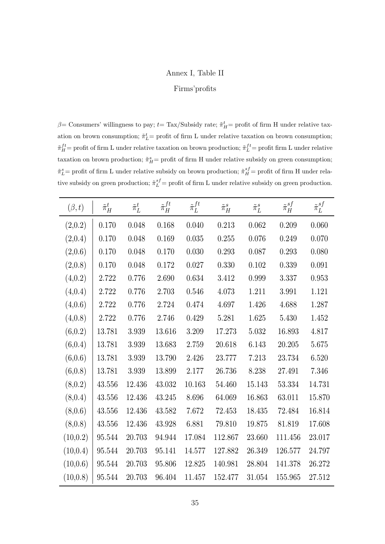### Annex I, Table II

#### Firms'profits

 $\beta$ = Consumers' willingness to pay;  $t$ = Tax/Subsidy rate;  $\tilde{\pi}_{H}^{t}$ = profit of firm H under relative taxation on brown consumption;  $\tilde{\pi}_L^t$  = profit of firm L under relative taxation on brown consumption;  $\tilde{\pi}^{ft}_H$  = profit of firm L under relative taxation on brown production;  $\tilde{\pi}^{ft}_L$  = profit firm L under relative taxation on brown production;  $\tilde{\pi}_{H}^{s}$  = profit of firm H under relative subsidy on green consumption;  $\tilde{\pi}_L^s$  = profit of firm L under relative subsidy on brown production;  $\tilde{\pi}_H^{sf}$  = profit of firm H under relative subsidy on green production;  $\tilde{\pi}_L^{sf}$  = profit of firm L under relative subsidy on green production.

| $(\beta,t)$ | $\tilde{\pi}_{H}^{t}$ | $\tilde{\pi}_L^t$ | $\tilde{\pi}_{H}^{ft}$ | $\tilde{\pi}_L^{ft}$ | $\tilde{\pi}_{H}^{s}$ | $\tilde{\pi}_L^s$ | $\tilde{\pi}_H^{sf}$ | $\tilde{\pi}_L^{sf}$ |
|-------------|-----------------------|-------------------|------------------------|----------------------|-----------------------|-------------------|----------------------|----------------------|
| (2,0.2)     | 0.170                 | 0.048             | 0.168                  | 0.040                | 0.213                 | 0.062             | 0.209                | 0.060                |
| (2,0.4)     | 0.170                 | 0.048             | 0.169                  | 0.035                | 0.255                 | 0.076             | 0.249                | 0.070                |
| (2,0.6)     | 0.170                 | 0.048             | 0.170                  | 0.030                | 0.293                 | 0.087             | 0.293                | 0.080                |
| (2,0.8)     | 0.170                 | 0.048             | 0.172                  | 0.027                | 0.330                 | 0.102             | 0.339                | 0.091                |
| (4,0.2)     | 2.722                 | 0.776             | 2.690                  | 0.634                | 3.412                 | 0.999             | 3.337                | 0.953                |
| (4,0.4)     | 2.722                 | 0.776             | 2.703                  | 0.546                | 4.073                 | 1.211             | 3.991                | 1.121                |
| (4,0.6)     | 2.722                 | 0.776             | 2.724                  | 0.474                | 4.697                 | 1.426             | 4.688                | 1.287                |
| (4,0.8)     | 2.722                 | 0.776             | 2.746                  | 0.429                | 5.281                 | 1.625             | 5.430                | 1.452                |
| (6,0.2)     | 13.781                | 3.939             | 13.616                 | 3.209                | 17.273                | 5.032             | 16.893               | 4.817                |
| (6, 0.4)    | 13.781                | 3.939             | 13.683                 | 2.759                | 20.618                | 6.143             | 20.205               | 5.675                |
| (6, 0.6)    | 13.781                | 3.939             | 13.790                 | 2.426                | 23.777                | 7.213             | 23.734               | 6.520                |
| (6,0.8)     | 13.781                | 3.939             | 13.899                 | 2.177                | 26.736                | 8.238             | 27.491               | 7.346                |
| (8,0.2)     | 43.556                | 12.436            | 43.032                 | $10.163\,$           | 54.460                | 15.143            | 53.334               | 14.731               |
| (8,0.4)     | 43.556                | 12.436            | 43.245                 | 8.696                | 64.069                | 16.863            | 63.011               | 15.870               |
| (8,0.6)     | 43.556                | 12.436            | 43.582                 | 7.672                | 72.453                | 18.435            | 72.484               | 16.814               |
| (8,0.8)     | 43.556                | 12.436            | 43.928                 | 6.881                | 79.810                | 19.875            | $81.819\,$           | 17.608               |
| (10, 0.2)   | 95.544                | 20.703            | 94.944                 | 17.084               | 112.867               | 23.660            | 111.456              | 23.017               |
| (10, 0.4)   | 95.544                | 20.703            | 95.141                 | 14.577               | 127.882               | 26.349            | 126.577              | 24.797               |
| (10, 0.6)   | 95.544                | 20.703            | 95.806                 | 12.825               | 140.981               | 28.804            | 141.378              | 26.272               |
| (10,0.8)    | 95.544                | 20.703            | 96.404                 | 11.457               | 152.477               | 31.054            | 155.965              | 27.512               |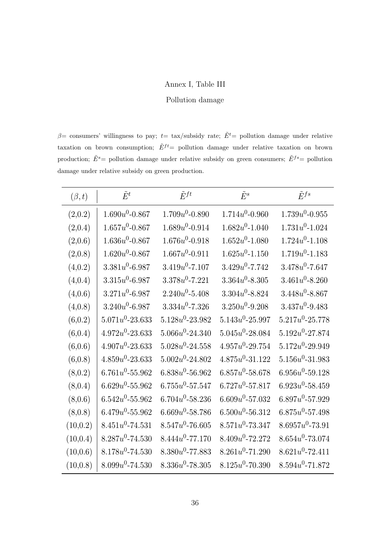### Annex I, Table III

#### Pollution damage

 $\beta$ = consumers' willingness to pay; t= tax/subsidy rate;  $\tilde{E}^t$ = pollution damage under relative taxation on brown consumption;  $\tilde{E}^{ft}$  = pollution damage under relative taxation on brown production;  $\tilde{E}^s$  = pollution damage under relative subsidy on green consumers;  $\tilde{E}^{fs}$  = pollution damage under relative subsidy on green production.

| $(\beta, t)$ | $\tilde{E}^t$       | $\tilde{E}^{ft}$    | $\tilde{E}^s$       | $\tilde{E}^{fs}$    |
|--------------|---------------------|---------------------|---------------------|---------------------|
| (2,0.2)      | $1.690u^0$ -0.867   | $1.709u^0 - 0.890$  | $1.714u^0 - 0.960$  | $1.739u^0 - 0.955$  |
| (2,0.4)      | $1.657u^0 - 0.867$  | $1.689u^0 - 0.914$  | $1.682u^0 - 1.040$  | $1.731u^0 - 1.024$  |
| (2,0.6)      | $1.636u^0 - 0.867$  | $1.676u^0 - 0.918$  | $1.652u^0 - 1.080$  | $1.724u^0 - 1.108$  |
| (2,0.8)      | $1.620u^0$ -0.867   | $1.667u^0 - 0.911$  | $1.625u^0 - 1.150$  | $1.719u^0 - 1.183$  |
| (4,0.2)      | $3.381u^0 - 6.987$  | $3.419u^0$ -7.107   | $3.429u^0 - 7.742$  | $3.478u^0 - 7.647$  |
| (4,0.4)      | $3.315u^0 - 6.987$  | $3.378u^0 - 7.221$  | $3.364u^0 - 8.305$  | $3.461u^0 - 8.260$  |
| (4,0.6)      | $3.271u^0 - 6.987$  | $2.240u^0 - 5.408$  | $3.304u^0 - 8.824$  | $3.448u^0 - 8.867$  |
| (4,0.8)      | $3.240u^0 - 6.987$  | $3.334u^0$ -7.326   | $3.250u^0 - 9.208$  | $3.437u^0 - 9.483$  |
| (6, 0.2)     | $5.071u^0 - 23.633$ | $5.128u^0$ -23.982  | $5.143u^0 - 25.997$ | $5.217u^0$ -25.778  |
| (6, 0.4)     | $4.972u^0$ -23.633  | $5.066u^0 - 24.340$ | $5.045u^0$ -28.084  | $5.192u^0$ -27.874  |
| (6, 0.6)     | $4.907u^0 - 23.633$ | $5.028u^0$ -24.558  | $4.957u^0$ -29.754  | $5.172u^0 - 29.949$ |
| (6, 0.8)     | $4.859u^0$ -23.633  | $5.002u^0 - 24.802$ | $4.875u^0 - 31.122$ | $5.156u^0 - 31.983$ |
| (8,0.2)      | $6.761u^0 - 55.962$ | $6.838u^0 - 56.962$ | $6.857u^0 - 58.678$ | $6.956u^0 - 59.128$ |
| (8, 0.4)     | $6.629u^0 - 55.962$ | $6.755u^0 - 57.547$ | $6.727u^0$ -57.817  | $6.923u^0 - 58.459$ |
| (8,0.6)      | $6.542u^0 - 55.962$ | $6.704u^0 - 58.236$ | $6.609u^0 - 57.032$ | $6.897u^0 - 57.929$ |
| (8,0.8)      | $6.479u^0 - 55.962$ | $6.669u^0 - 58.786$ | $6.500u^0 - 56.312$ | $6.875u^0 - 57.498$ |
| (10, 0.2)    | $8.451u^0 - 74.531$ | $8.547u^0 - 76.605$ | $8.571u^0 - 73.347$ | $8.6957u^0 - 73.91$ |
| (10, 0.4)    | $8.287u^0$ -74.530  | $8.444u^0$ -77.170  | $8.409u^0$ -72.272  | $8.654u^0 - 73.074$ |
| (10, 0.6)    | $8.178u^0 - 74.530$ | $8.380u^0$ -77.883  | $8.261u^0 - 71.290$ | $8.621u^0 - 72.411$ |
| (10, 0.8)    | $8.099u^0 - 74.530$ | $8.336u^0 - 78.305$ | $8.125u^0 - 70.390$ | $8.594u^0 - 71.872$ |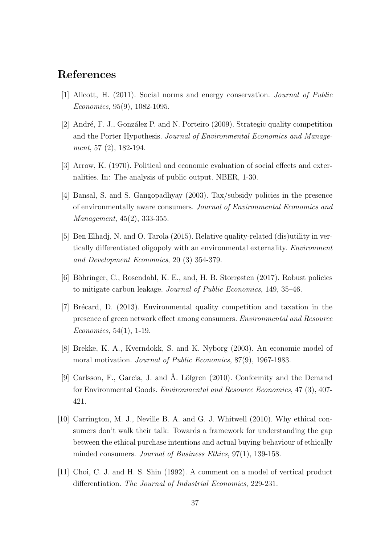# References

- [1] Allcott, H. (2011). Social norms and energy conservation. Journal of Public Economics, 95(9), 1082-1095.
- [2] André, F. J., González P. and N. Porteiro (2009). Strategic quality competition and the Porter Hypothesis. Journal of Environmental Economics and Management, 57 (2), 182-194.
- [3] Arrow, K. (1970). Political and economic evaluation of social effects and externalities. In: The analysis of public output. NBER, 1-30.
- [4] Bansal, S. and S. Gangopadhyay (2003). Tax/subsidy policies in the presence of environmentally aware consumers. Journal of Environmental Economics and Management, 45(2), 333-355.
- [5] Ben Elhadj, N. and O. Tarola (2015). Relative quality-related (dis)utility in vertically differentiated oligopoly with an environmental externality. Environment and Development Economics, 20 (3) 354-379.
- [6] Böhringer, C., Rosendahl, K. E., and, H. B. Storrøsten (2017). Robust policies to mitigate carbon leakage. Journal of Public Economics, 149, 35–46.
- [7] Brécard, D. (2013). Environmental quality competition and taxation in the presence of green network effect among consumers. Environmental and Resource Economics, 54(1), 1-19.
- [8] Brekke, K. A., Kverndokk, S. and K. Nyborg (2003). An economic model of moral motivation. Journal of Public Economics, 87(9), 1967-1983.
- [9] Carlsson, F., Garcia, J. and Å. Löfgren (2010). Conformity and the Demand for Environmental Goods. Environmental and Resource Economics, 47 (3), 407- 421.
- [10] Carrington, M. J., Neville B. A. and G. J. Whitwell (2010). Why ethical consumers don't walk their talk: Towards a framework for understanding the gap between the ethical purchase intentions and actual buying behaviour of ethically minded consumers. *Journal of Business Ethics*, 97(1), 139-158.
- [11] Choi, C. J. and H. S. Shin (1992). A comment on a model of vertical product differentiation. The Journal of Industrial Economics, 229-231.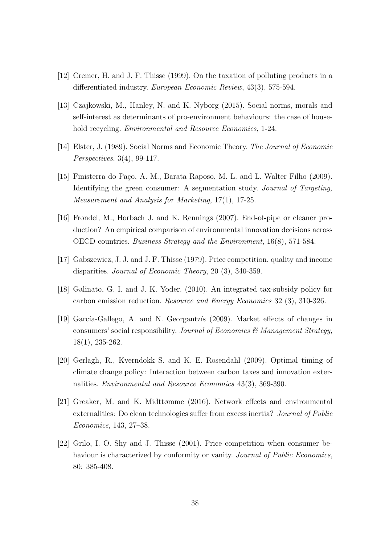- [12] Cremer, H. and J. F. Thisse (1999). On the taxation of polluting products in a differentiated industry. European Economic Review, 43(3), 575-594.
- [13] Czajkowski, M., Hanley, N. and K. Nyborg (2015). Social norms, morals and self-interest as determinants of pro-environment behaviours: the case of household recycling. *Environmental and Resource Economics*, 1-24.
- [14] Elster, J. (1989). Social Norms and Economic Theory. The Journal of Economic Perspectives, 3(4), 99-117.
- [15] Finisterra do Paço, A. M., Barata Raposo, M. L. and L. Walter Filho (2009). Identifying the green consumer: A segmentation study. *Journal of Targeting*, Measurement and Analysis for Marketing, 17(1), 17-25.
- [16] Frondel, M., Horbach J. and K. Rennings (2007). End-of-pipe or cleaner production? An empirical comparison of environmental innovation decisions across OECD countries. Business Strategy and the Environment, 16(8), 571-584.
- [17] Gabszewicz, J. J. and J. F. Thisse (1979). Price competition, quality and income disparities. Journal of Economic Theory, 20 (3), 340-359.
- [18] Galinato, G. I. and J. K. Yoder. (2010). An integrated tax-subsidy policy for carbon emission reduction. Resource and Energy Economics 32 (3), 310-326.
- [19] García-Gallego, A. and N. Georgantzís (2009). Market effects of changes in consumers' social responsibility. Journal of Economics  $\mathcal C$  Management Strategy, 18(1), 235-262.
- [20] Gerlagh, R., Kverndokk S. and K. E. Rosendahl (2009). Optimal timing of climate change policy: Interaction between carbon taxes and innovation externalities. Environmental and Resource Economics 43(3), 369-390.
- [21] Greaker, M. and K. Midttømme (2016). Network effects and environmental externalities: Do clean technologies suffer from excess inertia? Journal of Public Economics, 143, 27–38.
- [22] Grilo, I. O. Shy and J. Thisse (2001). Price competition when consumer behaviour is characterized by conformity or vanity. Journal of Public Economics, 80: 385-408.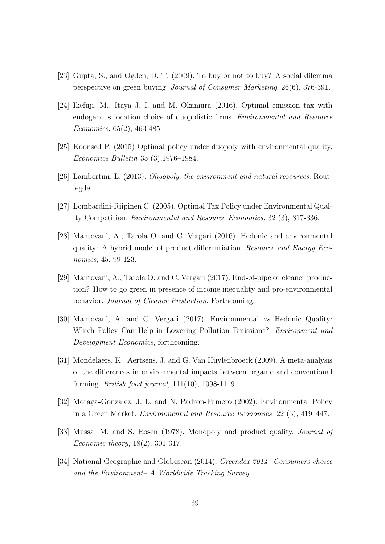- [23] Gupta, S., and Ogden, D. T. (2009). To buy or not to buy? A social dilemma perspective on green buying. Journal of Consumer Marketing, 26(6), 376-391.
- [24] Ikefuji, M., Itaya J. I. and M. Okamura (2016). Optimal emission tax with endogenous location choice of duopolistic firms. Environmental and Resource Economics, 65(2), 463-485.
- [25] Koonsed P. (2015) Optimal policy under duopoly with environmental quality. Economics Bulletin 35 (3),1976–1984.
- [26] Lambertini, L. (2013). Oligopoly, the environment and natural resources. Routlegde.
- [27] Lombardini-Riipinen C. (2005). Optimal Tax Policy under Environmental Quality Competition. Environmental and Resource Economics, 32 (3), 317-336.
- [28] Mantovani, A., Tarola O. and C. Vergari (2016). Hedonic and environmental quality: A hybrid model of product differentiation. Resource and Energy Economics, 45, 99-123.
- [29] Mantovani, A., Tarola O. and C. Vergari (2017). End-of-pipe or cleaner production? How to go green in presence of income inequality and pro-environmental behavior. Journal of Cleaner Production. Forthcoming.
- [30] Mantovani, A. and C. Vergari (2017). Environmental vs Hedonic Quality: Which Policy Can Help in Lowering Pollution Emissions? Environment and Development Economics, forthcoming.
- [31] Mondelaers, K., Aertsens, J. and G. Van Huylenbroeck (2009). A meta-analysis of the differences in environmental impacts between organic and conventional farming. British food journal, 111(10), 1098-1119.
- [32] Moraga-Gonzalez, J. L. and N. Padron-Fumero (2002). Environmental Policy in a Green Market. Environmental and Resource Economics, 22 (3), 419–447.
- [33] Mussa, M. and S. Rosen (1978). Monopoly and product quality. Journal of Economic theory, 18(2), 301-317.
- [34] National Geographic and Globescan (2014). Greendex 2014: Consumers choice and the Environment– A Worldwide Tracking Survey.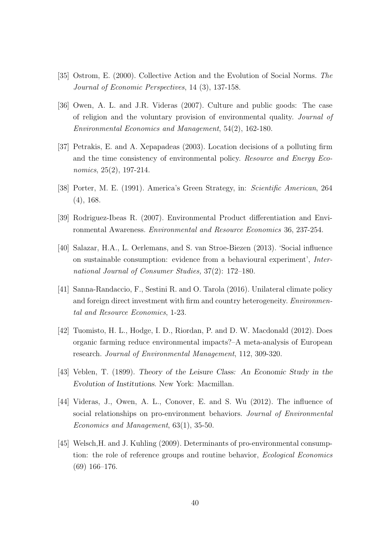- [35] Ostrom, E. (2000). Collective Action and the Evolution of Social Norms. The Journal of Economic Perspectives, 14 (3), 137-158.
- [36] Owen, A. L. and J.R. Videras (2007). Culture and public goods: The case of religion and the voluntary provision of environmental quality. Journal of Environmental Economics and Management, 54(2), 162-180.
- [37] Petrakis, E. and A. Xepapadeas (2003). Location decisions of a polluting firm and the time consistency of environmental policy. Resource and Energy Economics, 25(2), 197-214.
- [38] Porter, M. E. (1991). America's Green Strategy, in: Scientific American, 264 (4), 168.
- [39] Rodriguez-Ibeas R. (2007). Environmental Product differentiation and Environmental Awareness. Environmental and Resource Economics 36, 237-254.
- [40] Salazar, H.A., L. Oerlemans, and S. van Stroe-Biezen (2013). 'Social influence on sustainable consumption: evidence from a behavioural experiment', International Journal of Consumer Studies, 37(2): 172–180.
- [41] Sanna-Randaccio, F., Sestini R. and O. Tarola (2016). Unilateral climate policy and foreign direct investment with firm and country heterogeneity. Environmental and Resource Economics, 1-23.
- [42] Tuomisto, H. L., Hodge, I. D., Riordan, P. and D. W. Macdonald (2012). Does organic farming reduce environmental impacts?–A meta-analysis of European research. Journal of Environmental Management, 112, 309-320.
- [43] Veblen, T. (1899). Theory of the Leisure Class: An Economic Study in the Evolution of Institutions. New York: Macmillan.
- [44] Videras, J., Owen, A. L., Conover, E. and S. Wu (2012). The influence of social relationships on pro-environment behaviors. Journal of Environmental Economics and Management, 63(1), 35-50.
- [45] Welsch, H. and J. Kuhling (2009). Determinants of pro-environmental consumption: the role of reference groups and routine behavior, Ecological Economics (69) 166–176.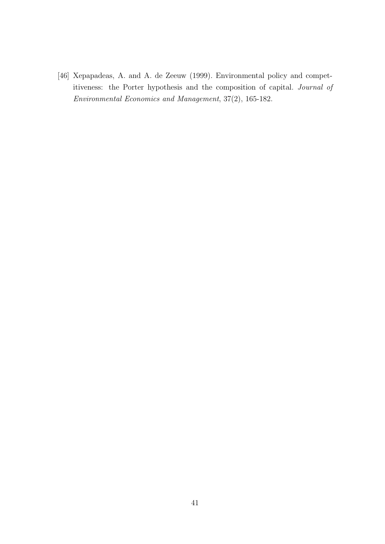[46] Xepapadeas, A. and A. de Zeeuw (1999). Environmental policy and competitiveness: the Porter hypothesis and the composition of capital. Journal of Environmental Economics and Management, 37(2), 165-182.